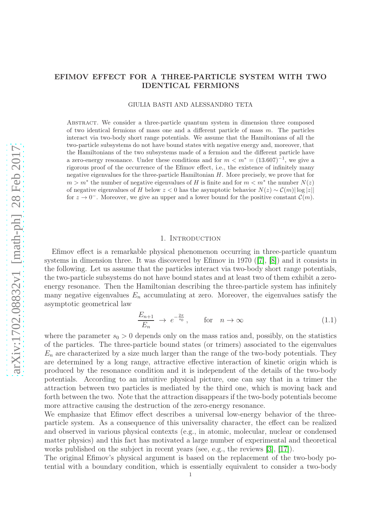## EFIMOV EFFECT FOR A THREE-PARTICLE SYSTEM WITH TWO IDENTICAL FERMIONS

#### GIULIA BASTI AND ALESSANDRO TETA

Abstract. We consider a three-particle quantum system in dimension three composed of two identical fermions of mass one and a different particle of mass m. The particles interact via two-body short range potentials. We assume that the Hamiltonians of all the two-particle subsystems do not have bound states with negative energy and, moreover, that the Hamiltonians of the two subsystems made of a fermion and the different particle have a zero-energy resonance. Under these conditions and for  $m < m^* = (13.607)^{-1}$ , we give a rigorous proof of the occurrence of the Efimov effect, i.e., the existence of infinitely many negative eigenvalues for the three-particle Hamiltonian H. More precisely, we prove that for  $m > m^*$  the number of negative eigenvalues of H is finite and for  $m < m^*$  the number  $N(z)$ of negative eigenvalues of H below  $z < 0$  has the asymptotic behavior  $N(z) \sim \mathcal{C}(m) |\log |z||$ for  $z \to 0^-$ . Moreover, we give an upper and a lower bound for the positive constant  $\mathcal{C}(m)$ .

## 1. INTRODUCTION

Efimov effect is a remarkable physical phenomenon occurring in three-particle quantum systems in dimension three. It was discovered by Efimov in 1970 ([\[7\]](#page-24-0), [\[8\]](#page-24-1)) and it consists in the following. Let us assume that the particles interact via two-body short range potentials, the two-particle subsystems do not have bound states and at least two of them exhibit a zeroenergy resonance. Then the Hamiltonian describing the three-particle system has infinitely many negative eigenvalues  $E_n$  accumulating at zero. Moreover, the eigenvalues satisfy the asymptotic geometrical law

<span id="page-0-0"></span>
$$
\frac{E_{n+1}}{E_n} \to e^{-\frac{2\pi}{s_0}}, \quad \text{for} \quad n \to \infty \tag{1.1}
$$

where the parameter  $s_0 > 0$  depends only on the mass ratios and, possibly, on the statistics of the particles. The three-particle bound states (or trimers) associated to the eigenvalues  $E_n$  are characterized by a size much larger than the range of the two-body potentials. They are determined by a long range, attractive effective interaction of kinetic origin which is produced by the resonance condition and it is independent of the details of the two-body potentials. According to an intuitive physical picture, one can say that in a trimer the attraction between two particles is mediated by the third one, which is moving back and forth between the two. Note that the attraction disappears if the two-body potentials become more attractive causing the destruction of the zero-energy resonance.

We emphasize that Efimov effect describes a universal low-energy behavior of the threeparticle system. As a consequence of this universality character, the effect can be realized and observed in various physical contexts (e.g., in atomic, molecular, nuclear or condensed matter physics) and this fact has motivated a large number of experimental and theoretical works published on the subject in recent years (see, e.g., the reviews [\[3\]](#page-24-2), [\[17\]](#page-24-3)).

The original Efimov's physical argument is based on the replacement of the two-body potential with a boundary condition, which is essentially equivalent to consider a two-body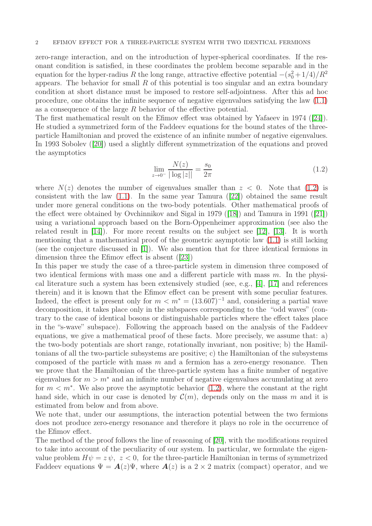zero-range interaction, and on the introduction of hyper-spherical coordinates. If the resonant condition is satisfied, in these coordinates the problem become separable and in the equation for the hyper-radius R the long range, attractive effective potential  $-(s_0^2+1/4)/R^2$ appears. The behavior for small  $R$  of this potential is too singular and an extra boundary condition at short distance must be imposed to restore self-adjointness. After this ad hoc procedure, one obtains the infinite sequence of negative eigenvalues satisfying the law [\(1.1\)](#page-0-0) as a consequence of the large R behavior of the effective potential.

The first mathematical result on the Efimov effect was obtained by Yafaeev in 1974 ([\[24\]](#page-25-0)). He studied a symmetrized form of the Faddeev equations for the bound states of the threeparticle Hamiltonian and proved the existence of an infinite number of negative eigenvalues. In 1993 Sobolev ([\[20\]](#page-25-1)) used a slightly different symmetrization of the equations and proved the asymptotics

<span id="page-1-0"></span>
$$
\lim_{z \to 0^-} \frac{N(z)}{|\log|z||} = \frac{s_0}{2\pi} \tag{1.2}
$$

where  $N(z)$  denotes the number of eigenvalues smaller than  $z < 0$ . Note that [\(1.2\)](#page-1-0) is consistent with the law [\(1.1\)](#page-0-0). In the same year Tamura ([\[22\]](#page-25-2)) obtained the same result under more general conditions on the two-body potentials. Other mathematical proofs of the effect were obtained by Ovchinnikov and Sigal in 1979 ([\[18\]](#page-25-3)) and Tamura in 1991 ([\[21\]](#page-25-4)) using a variational approach based on the Born-Oppenheimer approximation (see also the related result in [\[14\]](#page-24-4)). For more recent results on the subject see [\[12\]](#page-24-5), [\[13\]](#page-24-6). It is worth mentioning that a mathematical proof of the geometric asymptotic law [\(1.1\)](#page-0-0) is still lacking (see the conjecture discussed in [\[1\]](#page-24-7)). We also mention that for three identical fermions in dimension three the Efimov effect is absent ([\[23\]](#page-25-5))

In this paper we study the case of a three-particle system in dimension three composed of two identical fermions with mass one and a different particle with mass m. In the physical literature such a system has been extensively studied (see, e.g., [\[4\]](#page-24-8), [\[17\]](#page-24-3) and references therein) and it is known that the Efimov effect can be present with some peculiar features. Indeed, the effect is present only for  $m < m^* = (13.607)^{-1}$  and, considering a partial wave decomposition, it takes place only in the subspaces corresponding to the "odd waves" (contrary to the case of identical bosons or distinguishable particles where the effect takes place in the "s-wave" subspace). Following the approach based on the analysis of the Faddeev equations, we give a mathematical proof of these facts. More precisely, we assume that: a) the two-body potentials are short range, rotationally invariant, non positive; b) the Hamiltonians of all the two-particle subsystems are positive; c) the Hamiltonian of the subsystems composed of the particle with mass  $m$  and a fermion has a zero-energy resonance. Then we prove that the Hamiltonian of the three-particle system has a finite number of negative eigenvalues for  $m > m^*$  and an infinite number of negative eigenvalues accumulating at zero for  $m < m^*$ . We also prove the asymptotic behavior [\(1.2\)](#page-1-0), where the constant at the right hand side, which in our case is denoted by  $\mathcal{C}(m)$ , depends only on the mass m and it is estimated from below and from above.

We note that, under our assumptions, the interaction potential between the two fermions does not produce zero-energy resonance and therefore it plays no role in the occurrence of the Efimov effect.

The method of the proof follows the line of reasoning of [\[20\]](#page-25-1), with the modifications required to take into account of the peculiarity of our system. In particular, we formulate the eigenvalue problem  $H\psi = z\psi$ ,  $z < 0$ , for the three-particle Hamiltonian in terms of symmetrized Faddeev equations  $\Psi = \mathbf{A}(z)\Psi$ , where  $\mathbf{A}(z)$  is a  $2 \times 2$  matrix (compact) operator, and we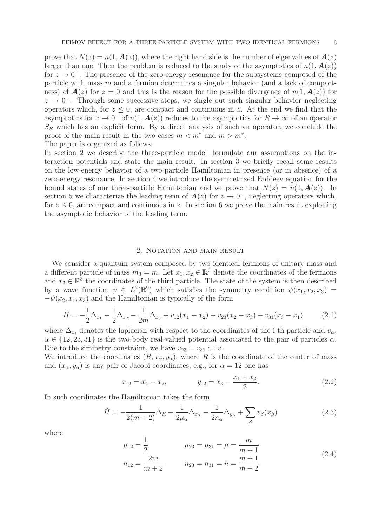prove that  $N(z) = n(1, \mathbf{A}(z))$ , where the right hand side is the number of eigenvalues of  $\mathbf{A}(z)$ larger than one. Then the problem is reduced to the study of the asymptotics of  $n(1, \mathbf{A}(z))$ for  $z \to 0^-$ . The presence of the zero-energy resonance for the subsystems composed of the particle with mass m and a fermion determines a singular behavior (and a lack of compactness) of  $A(z)$  for  $z = 0$  and this is the reason for the possible divergence of  $n(1, A(z))$  for  $z \to 0^-$ . Through some successive steps, we single out such singular behavior neglecting operators which, for  $z \leq 0$ , are compact and continuous in z. At the end we find that the asymptotics for  $z \to 0^-$  of  $n(1, A(z))$  reduces to the asymptotics for  $R \to \infty$  of an operator  $S_R$  which has an explicit form. By a direct analysis of such an operator, we conclude the proof of the main result in the two cases  $m < m^*$  and  $m > m^*$ . The paper is organized as follows.

In section 2 we describe the three-particle model, formulate our assumptions on the interaction potentials and state the main result. In section 3 we briefly recall some results on the low-energy behavior of a two-particle Hamiltonian in presence (or in absence) of a zero-energy resonance. In section 4 we introduce the symmetrized Faddeev equation for the bound states of our three-particle Hamiltonian and we prove that  $N(z) = n(1, A(z))$ . In section 5 we characterize the leading term of  $A(z)$  for  $z \to 0^-$ , neglecting operators which, for  $z \leq 0$ , are compact and continuous in z. In section 6 we prove the main result exploiting the asymptotic behavior of the leading term.

#### 2. NOTATION AND MAIN RESULT

We consider a quantum system composed by two identical fermions of unitary mass and a different particle of mass  $m_3 = m$ . Let  $x_1, x_2 \in \mathbb{R}^3$  denote the coordinates of the fermions and  $x_3 \in \mathbb{R}^3$  the coordinates of the third particle. The state of the system is then described by a wave function  $\psi \in L^2(\mathbb{R}^9)$  which satisfies the symmetry condition  $\psi(x_1, x_2, x_3)$  =  $-\psi(x_2, x_1, x_3)$  and the Hamiltonian is typically of the form

$$
\tilde{H} = -\frac{1}{2}\Delta_{x_1} - \frac{1}{2}\Delta_{x_2} - \frac{1}{2m}\Delta_{x_3} + v_{12}(x_1 - x_2) + v_{23}(x_2 - x_3) + v_{31}(x_3 - x_1) \tag{2.1}
$$

where  $\Delta_{x_i}$  denotes the laplacian with respect to the coordinates of the i-th particle and  $v_\alpha$ ,  $\alpha \in \{12, 23, 31\}$  is the two-body real-valued potential associated to the pair of particles  $\alpha$ . Due to the simmetry constraint, we have  $v_{23} = v_{31} := v$ .

We introduce the coordinates  $(R, x_{\alpha}, y_{\alpha})$ , where R is the coordinate of the center of mass and  $(x_{\alpha}, y_{\alpha})$  is any pair of Jacobi coordinates, e.g., for  $\alpha = 12$  one has

$$
x_{12} = x_1 - x_2, \t y_{12} = x_3 - \frac{x_1 + x_2}{2}.
$$
\t(2.2)

In such coordinates the Hamiltonian takes the form

$$
\tilde{H} = -\frac{1}{2(m+2)}\Delta_R - \frac{1}{2\mu_\alpha}\Delta_{x_\alpha} - \frac{1}{2n_\alpha}\Delta_{y_\alpha} + \sum_{\beta} v_\beta(x_\beta)
$$
\n(2.3)

where

$$
\mu_{12} = \frac{1}{2} \qquad \qquad \mu_{23} = \mu_{31} = \mu = \frac{m}{m+1}
$$
\n
$$
n_{12} = \frac{2m}{m+2} \qquad \qquad n_{23} = n_{31} = n = \frac{m+1}{m+2}
$$
\n
$$
(2.4)
$$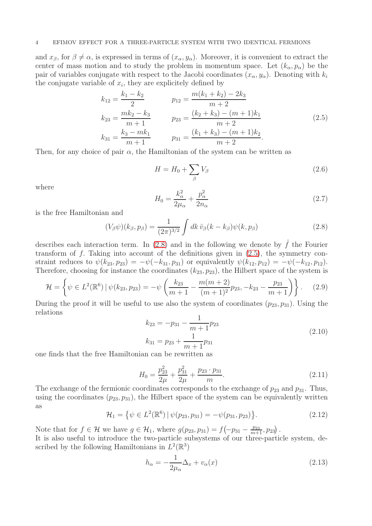#### 4 EFIMOV EFFECT FOR A THREE-PARTICLE SYSTEM WITH TWO IDENTICAL FERMIONS

and  $x_{\beta}$ , for  $\beta \neq \alpha$ , is expressed in terms of  $(x_{\alpha}, y_{\alpha})$ . Moreover, it is convenient to extract the center of mass motion and to study the problem in momentum space. Let  $(k_{\alpha}, p_{\alpha})$  be the pair of variables conjugate with respect to the Jacobi coordinates  $(x_{\alpha}, y_{\alpha})$ . Denoting with  $k_i$ the conjugate variable of  $x_i$ , they are explicitely defined by

<span id="page-3-1"></span>
$$
k_{12} = \frac{k_1 - k_2}{2} \qquad p_{12} = \frac{m(k_1 + k_2) - 2k_3}{m + 2}
$$
  
\n
$$
k_{23} = \frac{mk_2 - k_3}{m + 1} \qquad p_{23} = \frac{(k_2 + k_3) - (m + 1)k_1}{m + 2}
$$
  
\n
$$
k_{31} = \frac{k_3 - mk_1}{m + 1} \qquad p_{31} = \frac{(k_1 + k_3) - (m + 1)k_2}{m + 2}.
$$
\n(2.5)

Then, for any choice of pair  $\alpha$ , the Hamiltonian of the system can be written as

$$
H = H_0 + \sum_{\beta} V_{\beta} \tag{2.6}
$$

where

$$
H_0 = \frac{k_{\alpha}^2}{2\mu_{\alpha}} + \frac{p_{\alpha}^2}{2n_{\alpha}}
$$
 (2.7)

is the free Hamiltonian and

<span id="page-3-0"></span>
$$
(V_{\beta}\psi)(k_{\beta}, p_{\beta}) = \frac{1}{(2\pi)^{3/2}} \int dk \,\hat{v}_{\beta}(k - k_{\beta})\psi(k, p_{\beta})
$$
 (2.8)

describes each interaction term. In [\(2.8\)](#page-3-0) and in the following we denote by  $\hat{f}$  the Fourier transform of f. Taking into account of the definitions given in [\(2.5\)](#page-3-1), the symmetry constraint reduces to  $\psi(k_{23}, p_{23}) = -\psi(-k_{31}, p_{31})$  or equivalently  $\psi(k_{12}, p_{12}) = -\psi(-k_{12}, p_{12})$ . Therefore, choosing for instance the coordinates  $(k_{23}, p_{23})$ , the Hilbert space of the system is

$$
\mathcal{H} = \left\{ \psi \in L^{2}(\mathbb{R}^{6}) \mid \psi(k_{23}, p_{23}) = -\psi \left( \frac{k_{23}}{m+1} - \frac{m(m+2)}{(m+1)^{2}} p_{23}, -k_{23} - \frac{p_{23}}{m+1} \right) \right\}.
$$
 (2.9)

During the proof it will be useful to use also the system of coordinates  $(p_{23}, p_{31})$ . Using the relations

<span id="page-3-4"></span>
$$
k_{23} = -p_{31} - \frac{1}{m+1}p_{23}
$$
  
\n
$$
k_{31} = p_{23} + \frac{1}{m+1}p_{31}
$$
\n(2.10)

one finds that the free Hamiltonian can be rewritten as

<span id="page-3-3"></span>
$$
H_0 = \frac{p_{23}^2}{2\mu} + \frac{p_{31}^2}{2\mu} + \frac{p_{23} \cdot p_{31}}{m}.
$$
\n(2.11)

The exchange of the fermionic coordinates corresponds to the exchange of  $p_{23}$  and  $p_{31}$ . Thus, using the coordinates  $(p_{23}, p_{31})$ , the Hilbert space of the system can be equivalently written as

$$
\mathcal{H}_1 = \left\{ \psi \in L^2(\mathbb{R}^6) \, | \, \psi(p_{23}, p_{31}) = -\psi(p_{31}, p_{23}) \right\}.
$$
\n(2.12)

Note that for  $f \in \mathcal{H}$  we have  $g \in \mathcal{H}_1$ , where  $g(p_{23}, p_{31}) = f(-p_{31} - \frac{p_{23}}{m+1}, p_{23})$ .

It is also useful to introduce the two-particle subsystems of our three-particle system, described by the following Hamiltonians in  $L^2(\mathbb{R}^3)$ 

<span id="page-3-2"></span>
$$
h_{\alpha} = -\frac{1}{2\mu_{\alpha}}\Delta_x + v_{\alpha}(x)
$$
\n(2.13)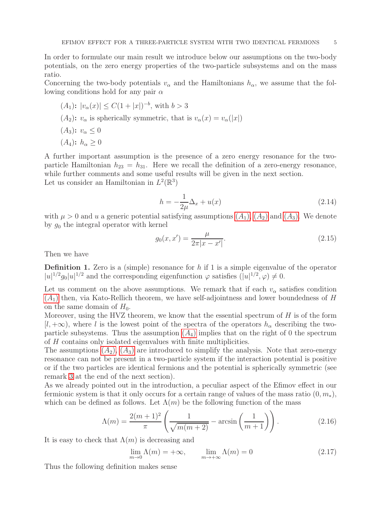In order to formulate our main result we introduce below our assumptions on the two-body potentials, on the zero energy properties of the two-particle subsystems and on the mass ratio.

Concerning the two-body potentials  $v_{\alpha}$  and the Hamiltonians  $h_{\alpha}$ , we assume that the following conditions hold for any pair  $\alpha$ 

<span id="page-4-2"></span><span id="page-4-1"></span><span id="page-4-0"></span>\n- $$
(A_1): |v_{\alpha}(x)| \leq C(1+|x|)^{-b}
$$
, with  $b > 3$
\n- $(A_2): v_{\alpha}$  is spherically symmetric, that is  $v_{\alpha}(x) = v_{\alpha}(|x|)$
\n- $(A_3): v_{\alpha} \leq 0$
\n- $(A_4): h_{\alpha} \geq 0$
\n

<span id="page-4-3"></span>A further important assumption is the presence of a zero energy resonance for the twoparticle Hamiltonian  $h_{23} = h_{31}$ . Here we recall the definition of a zero-energy resonance, while further comments and some useful results will be given in the next section. Let us consider an Hamiltonian in  $L^2(\mathbb{R}^3)$ 

<span id="page-4-4"></span>
$$
h = -\frac{1}{2\mu}\Delta_x + u(x)
$$
 (2.14)

with  $\mu > 0$  and u a generic potential satisfying assumptions  $(A_1)$  $(A_1)$  $(A_1)$ ,  $(A_2)$  and  $(A_3)$ . We denote by  $g_0$  the integral operator with kernel

$$
g_0(x, x') = \frac{\mu}{2\pi |x - x'|}.
$$
\n(2.15)

Then we have

<span id="page-4-5"></span>**Definition 1.** Zero is a (simple) resonance for  $h$  if 1 is a simple eigenvalue of the operator  $|u|^{1/2}g_0|u|^{1/2}$  and the corresponding eigenfunction  $\varphi$  satisfies  $(|u|^{1/2}, \varphi) \neq 0$ .

Let us comment on the above assumptions. We remark that if each  $v_{\alpha}$  satisfies condition  $(A<sub>1</sub>)$  $(A<sub>1</sub>)$  $(A<sub>1</sub>)$  then, via Kato-Rellich theorem, we have self-adjointness and lower boundedness of H on the same domain of  $H_0$ .

Moreover, using the HVZ theorem, we know that the essential spectrum of  $H$  is of the form  $[l, +\infty)$ , where l is the lowest point of the spectra of the operators  $h_{\alpha}$  describing the twoparticle subsystems. Thus the assumption  $(A_4)$  $(A_4)$  $(A_4)$  implies that on the right of 0 the spectrum of H contains only isolated eigenvalues with finite multiplicities.

The assumptions  $(A_2)$  $(A_2)$  $(A_2)$ ,  $(A_3)$  are introduced to simplify the analysis. Note that zero-energy resonance can not be present in a two-particle system if the interaction potential is positive or if the two particles are identical fermions and the potential is spherically symmetric (see remark [3](#page-6-0) at the end of the next section).

As we already pointed out in the introduction, a peculiar aspect of the Efimov effect in our fermionic system is that it only occurs for a certain range of values of the mass ratio  $(0, m_*)$ , which can be defined as follows. Let  $\Lambda(m)$  be the following function of the mass

<span id="page-4-6"></span>
$$
\Lambda(m) = \frac{2(m+1)^2}{\pi} \left( \frac{1}{\sqrt{m(m+2)}} - \arcsin\left(\frac{1}{m+1}\right) \right).
$$
 (2.16)

It is easy to check that  $\Lambda(m)$  is decreasing and

$$
\lim_{m \to 0} \Lambda(m) = +\infty, \qquad \lim_{m \to +\infty} \Lambda(m) = 0 \tag{2.17}
$$

Thus the following definition makes sense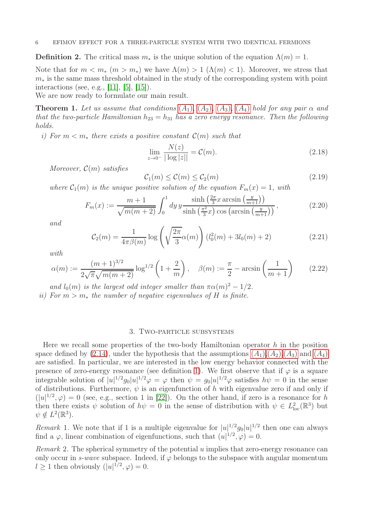<span id="page-5-6"></span>**Definition 2.** The critical mass  $m_*$  is the unique solution of the equation  $\Lambda(m) = 1$ .

Note that for  $m < m_*$   $(m > m_*)$  we have  $\Lambda(m) > 1$   $(\Lambda(m) < 1)$ . Moreover, we stress that  $m<sub>*</sub>$  is the same mass threshold obtained in the study of the corresponding system with point interactions (see, e.g., [\[11\]](#page-24-9), [\[5\]](#page-24-10), [\[15\]](#page-24-11)).

We are now ready to formulate our main result.

<span id="page-5-2"></span>**Theorem 1.** Let us assume that conditions  $(A_1)$  $(A_1)$  $(A_1)$ ,  $(A_2)$ ,  $(A_3)$ ,  $(A_4)$  hold for any pair  $\alpha$  and that the two-particle Hamiltonian  $h_{23} = h_{31}$  has a zero energy resonance. Then the following holds.

i) For  $m < m_*$  there exists a positive constant  $\mathcal{C}(m)$  such that

<span id="page-5-3"></span>
$$
\lim_{z \to 0^-} \frac{N(z)}{|\log |z||} = C(m).
$$
\n(2.18)

Moreover,  $\mathcal{C}(m)$  satisfies

<span id="page-5-7"></span>
$$
\mathcal{C}_1(m) \le \mathcal{C}(m) \le \mathcal{C}_2(m) \tag{2.19}
$$

where  $C_1(m)$  is the unique positive solution of the equation  $F_m(x) = 1$ , with

$$
F_m(x) := \frac{m+1}{\sqrt{m(m+2)}} \int_0^1 dy \, y \frac{\sinh\left(\frac{2\pi}{3}x \arcsin\left(\frac{y}{m+1}\right)\right)}{\sinh\left(\frac{\pi^2}{3}x\right) \cos\left(\arcsin\left(\frac{y}{m+1}\right)\right)},\tag{2.20}
$$

and

<span id="page-5-5"></span>
$$
C_2(m) = \frac{1}{4\pi\beta(m)} \log \left( \sqrt{\frac{2\pi}{3}} \alpha(m) \right) (l_0^2(m) + 3l_0(m) + 2)
$$
 (2.21)

with

<span id="page-5-4"></span>
$$
\alpha(m) := \frac{(m+1)^{3/2}}{2\sqrt{\pi}\sqrt{m(m+2)}} \log^{1/2}\left(1+\frac{2}{m}\right), \quad \beta(m) := \frac{\pi}{2} - \arcsin\left(\frac{1}{m+1}\right) \tag{2.22}
$$

and  $l_0(m)$  is the largest odd integer smaller than  $\pi \alpha(m)^2 - 1/2$ .

ii) For  $m > m_*$  the number of negative eigenvalues of H is finite.

## 3. Two-particle subsystems

Here we recall some properties of the two-body Hamiltonian operator  $h$  in the position space defined by [\(2.14\)](#page-4-4), under the hypothesis that the assumptions  $(A_1), (A_2), (A_3)$  $(A_1), (A_2), (A_3)$  $(A_1), (A_2), (A_3)$  and  $(A_4)$ are satisfied. In particular, we are interested in the low energy behavior connected with the presence of zero-energy resonance (see definition [1\)](#page-4-5). We first observe that if  $\varphi$  is a square integrable solution of  $|u|^{1/2}g_0|u|^{1/2}\varphi = \varphi$  then  $\psi = g_0|u|^{1/2}\varphi$  satisfies  $h\psi = 0$  in the sense of distributions. Furthermore,  $\psi$  is an eigenfunction of h with eigenvalue zero if and only if  $(|u|^{1/2}, \varphi) = 0$  (see, e.g., section 1 in [\[22\]](#page-25-2)). On the other hand, if zero is a resonance for h then there exists  $\psi$  solution of  $h\psi = 0$  in the sense of distribution with  $\psi \in L^2_{loc}(\mathbb{R}^3)$  but  $\psi \notin L^2(\mathbb{R}^3).$ 

<span id="page-5-1"></span>Remark 1. We note that if 1 is a multiple eigenvalue for  $|u|^{1/2}g_0|u|^{1/2}$  then one can always find a  $\varphi$ , linear combination of eigenfunctions, such that  $(u|^{1/2}, \varphi) = 0$ .

<span id="page-5-0"></span>Remark 2. The spherical symmetry of the potential u implies that zero-energy resonance can only occur in s-wave subspace. Indeed, if  $\varphi$  belongs to the subspace with angular momentum  $l \geq 1$  then obviously  $(|u|^{1/2}, \varphi) = 0$ .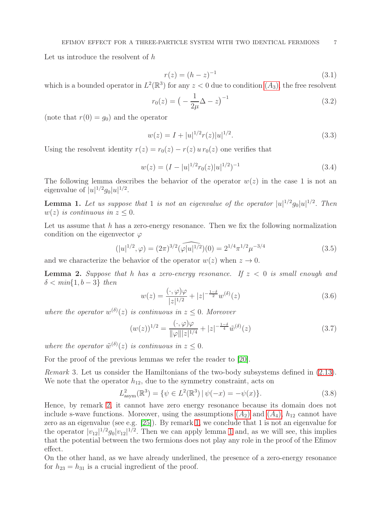Let us introduce the resolvent of h

$$
r(z) = (h - z)^{-1}
$$
\n(3.1)

which is a bounded operator in  $L^2(\mathbb{R}^3)$  for any  $z < 0$  due to condition  $(A_3)$  $(A_3)$  $(A_3)$ , the free resolvent

$$
r_0(z) = \left(-\frac{1}{2\mu}\Delta - z\right)^{-1}
$$
\n(3.2)

(note that  $r(0) = g_0$ ) and the operator

$$
w(z) = I + |u|^{1/2} r(z) |u|^{1/2}.
$$
\n(3.3)

Using the resolvent identity  $r(z) = r_0(z) - r(z) u r_0(z)$  one verifies that

$$
w(z) = (I - |u|^{1/2} r_0(z) |u|^{1/2})^{-1}
$$
\n(3.4)

The following lemma describes the behavior of the operator  $w(z)$  in the case 1 is not an eigenvalue of  $|u|^{1/2} g_0 |u|^{1/2}$ .

<span id="page-6-1"></span>**Lemma 1.** Let us suppose that 1 is not an eigenvalue of the operator  $|u|^{1/2}g_0|u|^{1/2}$ . Then  $w(z)$  is continuous in  $z \leq 0$ .

Let us assume that  $h$  has a zero-energy resonance. Then we fix the following normalization condition on the eigenvector  $\varphi$ 

<span id="page-6-3"></span>
$$
(|u|^{1/2}, \varphi) = (2\pi)^{3/2} \widehat{(\varphi|u|^{1/2})}(0) = 2^{1/4}\pi^{1/2}\mu^{-3/4}
$$
\n(3.5)

and we characterize the behavior of the operator  $w(z)$  when  $z \to 0$ .

<span id="page-6-2"></span>**Lemma 2.** Suppose that h has a zero-energy resonance. If  $z < 0$  is small enough and  $\delta < \min\{1, b-3\}$  then

$$
w(z) = \frac{(\cdot, \varphi)\varphi}{|z|^{1/2}} + |z|^{-\frac{1-\delta}{2}} w^{(\delta)}(z)
$$
\n(3.6)

where the operator  $w^{(\delta)}(z)$  is continuous in  $z \leq 0$ . Moreover

$$
(w(z))^{1/2} = \frac{(\cdot, \varphi)\varphi}{\|\varphi\||z|^{1/4}} + |z|^{-\frac{1-\delta}{4}} \tilde{w}^{(\delta)}(z)
$$
(3.7)

where the operator  $\tilde{w}^{(\delta)}(z)$  is continuous in  $z \leq 0$ .

For the proof of the previous lemmas we refer the reader to [\[20\]](#page-25-1).

<span id="page-6-0"></span>Remark 3. Let us consider the Hamiltonians of the two-body subsystems defined in [\(2.13\)](#page-3-2). We note that the operator  $h_{12}$ , due to the symmetry constraint, acts on

$$
L_{\text{asym}}^2(\mathbb{R}^3) = \{ \psi \in L^2(\mathbb{R}^3) \, | \, \psi(-x) = -\psi(x) \}. \tag{3.8}
$$

Hence, by remark [2,](#page-5-0) it cannot have zero energy resonance because its domain does not include s-wave functions. Moreover, using the assumptions  $(A_2)$  $(A_2)$  $(A_2)$  and  $(A_4)$ ,  $h_{12}$  cannot have zero as an eigenvalue (see e.g. [\[25\]](#page-25-6)). By remark [1,](#page-5-1) we conclude that 1 is not an eigenvalue for the operator  $|v_{12}|^{1/2}g_0|v_{12}|^{1/2}$ . Then we can apply lemma [1](#page-6-1) and, as we will see, this implies that the potential between the two fermions does not play any role in the proof of the Efimov effect.

On the other hand, as we have already underlined, the presence of a zero-energy resonance for  $h_{23} = h_{31}$  is a crucial ingredient of the proof.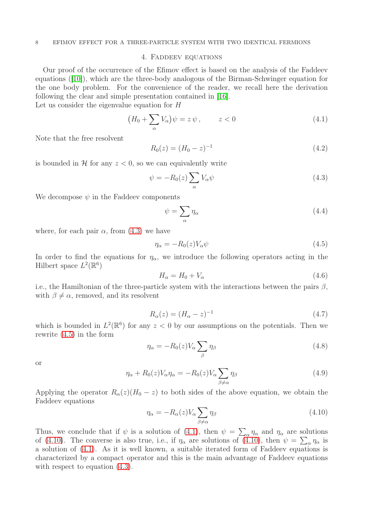#### 8 EFIMOV EFFECT FOR A THREE-PARTICLE SYSTEM WITH TWO IDENTICAL FERMIONS

#### 4. Faddeev equations

Our proof of the occurrence of the Efimov effect is based on the analysis of the Faddeev equations ([\[10\]](#page-24-12)), which are the three-body analogous of the Birman-Schwinger equation for the one body problem. For the convenience of the reader, we recall here the derivation following the clear and simple presentation contained in [\[16\]](#page-24-13).

Let us consider the eigenvalue equation for H

<span id="page-7-2"></span>
$$
(H_0 + \sum_{\alpha} V_{\alpha})\psi = z\,\psi \,, \qquad z < 0 \tag{4.1}
$$

Note that the free resolvent

$$
R_0(z) = (H_0 - z)^{-1}
$$
\n(4.2)

is bounded in H for any  $z < 0$ , so we can equivalently write

<span id="page-7-0"></span>
$$
\psi = -R_0(z) \sum_{\alpha} V_{\alpha} \psi \tag{4.3}
$$

We decompose  $\psi$  in the Faddeev components

$$
\psi = \sum_{\alpha} \eta_{\alpha} \tag{4.4}
$$

where, for each pair  $\alpha$ , from [\(4.3\)](#page-7-0) we have

<span id="page-7-1"></span>
$$
\eta_{\alpha} = -R_0(z)V_{\alpha}\psi\tag{4.5}
$$

In order to find the equations for  $\eta_{\alpha}$ , we introduce the following operators acting in the Hilbert space  $L^2(\mathbb{R}^6)$ 

$$
H_{\alpha} = H_0 + V_{\alpha} \tag{4.6}
$$

i.e., the Hamiltonian of the three-particle system with the interactions between the pairs  $\beta$ , with  $\beta \neq \alpha$ , removed, and its resolvent

$$
R_{\alpha}(z) = (H_{\alpha} - z)^{-1}
$$
\n(4.7)

which is bounded in  $L^2(\mathbb{R}^6)$  for any  $z < 0$  by our assumptions on the potentials. Then we rewrite [\(4.5\)](#page-7-1) in the form

$$
\eta_{\alpha} = -R_0(z)V_{\alpha} \sum_{\beta} \eta_{\beta} \tag{4.8}
$$

or

$$
\eta_{\alpha} + R_0(z) V_{\alpha} \eta_{\alpha} = -R_0(z) V_{\alpha} \sum_{\beta \neq \alpha} \eta_{\beta} \tag{4.9}
$$

Applying the operator  $R_{\alpha}(z)(H_0 - z)$  to both sides of the above equation, we obtain the Faddeev equations

<span id="page-7-3"></span>
$$
\eta_{\alpha} = -R_{\alpha}(z)V_{\alpha} \sum_{\beta \neq \alpha} \eta_{\beta} \tag{4.10}
$$

Thus, we conclude that if  $\psi$  is a solution of [\(4.1\)](#page-7-2), then  $\psi = \sum_{\alpha} \eta_{\alpha}$  and  $\eta_{\alpha}$  are solutions of [\(4.10\)](#page-7-3). The converse is also true, i.e., if  $\eta_{\alpha}$  are solutions of (4.10), then  $\psi = \sum_{\alpha} \eta_{\alpha}$  is a solution of [\(4.1\)](#page-7-2). As it is well known, a suitable iterated form of Faddeev equations is characterized by a compact operator and this is the main advantage of Faddeev equations with respect to equation  $(4.3)$ .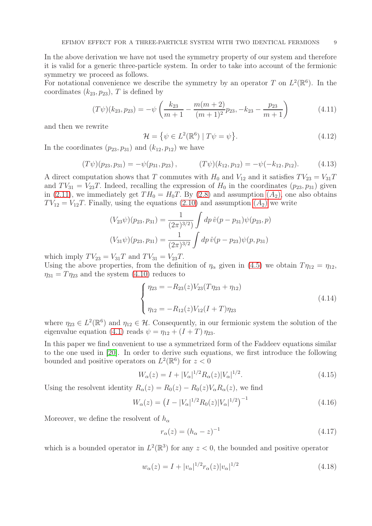In the above derivation we have not used the symmetry property of our system and therefore it is valid for a generic three-particle system. In order to take into account of the fermionic symmetry we proceed as follows.

For notational convenience we describe the symmetry by an operator T on  $L^2(\mathbb{R}^6)$ . In the coordinates  $(k_{23}, p_{23})$ , T is defined by

$$
(T\psi)(k_{23}, p_{23}) = -\psi\left(\frac{k_{23}}{m+1} - \frac{m(m+2)}{(m+1)^2}p_{23}, -k_{23} - \frac{p_{23}}{m+1}\right)
$$
(4.11)

and then we rewrite

$$
\mathcal{H} = \{ \psi \in L^{2}(\mathbb{R}^{6}) \mid T\psi = \psi \}. \tag{4.12}
$$

In the coordinates  $(p_{23}, p_{31})$  and  $(k_{12}, p_{12})$  we have

$$
(T\psi)(p_{23}, p_{31}) = -\psi(p_{31}, p_{23}), \qquad (T\psi)(k_{12}, p_{12}) = -\psi(-k_{12}, p_{12}). \qquad (4.13)
$$

A direct computation shows that T commutes with  $H_0$  and  $V_{12}$  and it satisfies  $TV_{23} = V_{31}T$ and  $TV_{31} = V_{23}T$ . Indeed, recalling the expression of  $H_0$  in the coordinates  $(p_{23}, p_{31})$  given in [\(2.11\)](#page-3-3), we immediately get  $TH_0 = H_0T$ . By [\(2.8\)](#page-3-0) and assumption  $(A_2)$  $(A_2)$  $(A_2)$ , one also obtains  $TV_{12} = V_{12}T$ . Finally, using the equations [\(2.10\)](#page-3-4) and assumption  $(A_2)$  $(A_2)$  $(A_2)$  we write

$$
(V_{23}\psi)(p_{23}, p_{31}) = \frac{1}{(2\pi)^{3/2}} \int dp \,\hat{v}(p - p_{31})\psi(p_{23}, p)
$$

$$
(V_{31}\psi)(p_{23}, p_{31}) = \frac{1}{(2\pi)^{3/2}} \int dp \,\hat{v}(p - p_{23})\psi(p, p_{31})
$$

which imply  $TV_{23} = V_{31}T$  and  $TV_{31} = V_{23}T$ .

Using the above properties, from the definition of  $\eta_{\alpha}$  given in [\(4.5\)](#page-7-1) we obtain  $T\eta_{12} = \eta_{12}$ ,  $\eta_{31} = T \eta_{23}$  and the system [\(4.10\)](#page-7-3) reduces to

<span id="page-8-0"></span>
$$
\begin{cases}\n\eta_{23} = -R_{23}(z)V_{23}(T\eta_{23} + \eta_{12}) \\
\eta_{12} = -R_{12}(z)V_{12}(I+T)\eta_{23}\n\end{cases}
$$
\n(4.14)

where  $\eta_{23} \in L^2(\mathbb{R}^6)$  and  $\eta_{12} \in \mathcal{H}$ . Consequently, in our fermionic system the solution of the eigenvalue equation [\(4.1\)](#page-7-2) reads  $\psi = \eta_{12} + (I + T) \eta_{23}$ .

In this paper we find convenient to use a symmetrized form of the Faddeev equations similar to the one used in [\[20\]](#page-25-1). In order to derive such equations, we first introduce the following bounded and positive operators on  $L^2(\mathbb{R}^6)$  for  $z < 0$ 

$$
W_{\alpha}(z) = I + |V_{\alpha}|^{1/2} R_{\alpha}(z) |V_{\alpha}|^{1/2}.
$$
\n(4.15)

Using the resolvent identity  $R_{\alpha}(z) = R_0(z) - R_0(z)V_{\alpha}R_{\alpha}(z)$ , we find

<span id="page-8-1"></span>
$$
W_{\alpha}(z) = \left(I - |V_{\alpha}|^{1/2} R_0(z) |V_{\alpha}|^{1/2}\right)^{-1}
$$
\n(4.16)

Moreover, we define the resolvent of  $h_{\alpha}$ 

$$
r_{\alpha}(z) = (h_{\alpha} - z)^{-1}
$$
 (4.17)

which is a bounded operator in  $L^2(\mathbb{R}^3)$  for any  $z < 0$ , the bounded and positive operator

$$
w_{\alpha}(z) = I + |v_{\alpha}|^{1/2} r_{\alpha}(z) |v_{\alpha}|^{1/2}
$$
\n(4.18)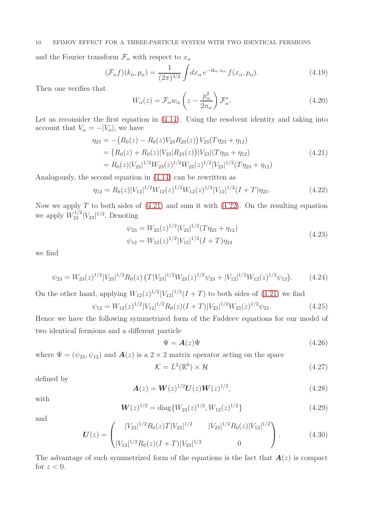## 10 EFIMOV EFFECT FOR A THREE-PARTICLE SYSTEM WITH TWO IDENTICAL FERMIONS

and the Fourier transform  $\mathcal{F}_{\alpha}$  with respect to  $x_{\alpha}$ 

$$
(\mathcal{F}_{\alpha}f)(k_{\alpha}, p_{\alpha}) = \frac{1}{(2\pi)^{3/2}} \int dx_{\alpha} e^{-ik_{\alpha} \cdot x_{\alpha}} f(x_{\alpha}, p_{\alpha}). \tag{4.19}
$$

Then one verifies that

<span id="page-9-2"></span>
$$
W_{\alpha}(z) = \mathcal{F}_{\alpha} w_{\alpha} \left( z - \frac{p_{\alpha}^2}{2n_{\alpha}} \right) \mathcal{F}_{\alpha}^*.
$$
 (4.20)

Let us reconsider the first equation in  $(4.14)$ . Using the resolvent identity and taking into account that  $V_{\alpha} = -|V_{\alpha}|$ , we have

<span id="page-9-0"></span>
$$
\eta_{23} = -\left(R_0(z) - R_0(z)V_{23}R_{23}(z)\right)V_{23}(T\eta_{23} + \eta_{12})
$$
  
=  $\left(R_0(z) + R_0(z)|V_{23}|R_{23}(z)\right)|V_{23}|(T\eta_{23} + \eta_{12})$   
=  $R_0(z)|V_{23}|^{1/2}W_{23}(z)^{1/2}W_{23}(z)^{1/2}|V_{23}|^{1/2}(T\eta_{23} + \eta_{12})$  (4.21)

Analogously, the second equation in [\(4.14\)](#page-8-0) can be rewritten as

<span id="page-9-1"></span>
$$
\eta_{12} = R_0(z)|V_{12}|^{1/2}W_{12}(z)^{1/2}W_{12}(z)^{1/2}|V_{12}|^{1/2}(I+T)\eta_{23}.\tag{4.22}
$$

Now we apply  $T$  to both sides of  $(4.21)$  and sum it with  $(4.22)$ . On the resulting equation we apply  $W_{23}^{1/2}|V_{23}|^{1/2}$ . Denoting

$$
\psi_{23} = W_{23}(z)^{1/2} |V_{23}|^{1/2} (T \eta_{23} + \eta_{12})
$$
  
\n
$$
\psi_{12} = W_{12}(z)^{1/2} |V_{12}|^{1/2} (I + T) \eta_{23}
$$
\n(4.23)

we find

$$
\psi_{23} = W_{23}(z)^{1/2} |V_{23}|^{1/2} R_0(z) \left( T |V_{23}|^{1/2} W_{23}(z)^{1/2} \psi_{23} + |V_{12}|^{1/2} W_{12}(z)^{1/2} \psi_{12} \right). \tag{4.24}
$$

On the other hand, applying  $W_{12}(z)^{1/2}|V_{12}|^{1/2}(I+T)$  to both sides of [\(4.21\)](#page-9-0) we find

$$
\psi_{12} = W_{12}(z)^{1/2} |V_{12}|^{1/2} R_0(z)(I+T)|V_{23}|^{1/2} W_{23}(z)^{1/2} \psi_{23}.
$$
\n(4.25)

Hence we have the following symmetrized form of the Faddeev equations for our model of two identical fermions and a different particle

$$
\Psi = \mathbf{A}(z)\Psi \tag{4.26}
$$

where  $\Psi = (\psi_{23}, \psi_{12})$  and  $\mathbf{A}(z)$  is a  $2 \times 2$  matrix operator acting on the space

$$
\mathcal{K} = L^2(\mathbb{R}^6) \times \mathcal{H} \tag{4.27}
$$

defined by

$$
\mathbf{A}(z) = \mathbf{W}(z)^{1/2} \mathbf{U}(z) \mathbf{W}(z)^{1/2}, \tag{4.28}
$$

with

$$
\mathbf{W}(z)^{1/2} = \text{diag}\{W_{23}(z)^{1/2}, W_{12}(z)^{1/2}\}\tag{4.29}
$$

and

$$
U(z) = \begin{pmatrix} |V_{23}|^{1/2} R_0(z) T |V_{23}|^{1/2} & |V_{23}|^{1/2} R_0(z) |V_{12}|^{1/2} \\ |V_{12}|^{1/2} R_0(z) (I+T) |V_{23}|^{1/2} & 0 \end{pmatrix}.
$$
 (4.30)

The advantage of such symmetrized form of the equations is the fact that  $A(z)$  is compact for  $z < 0$ .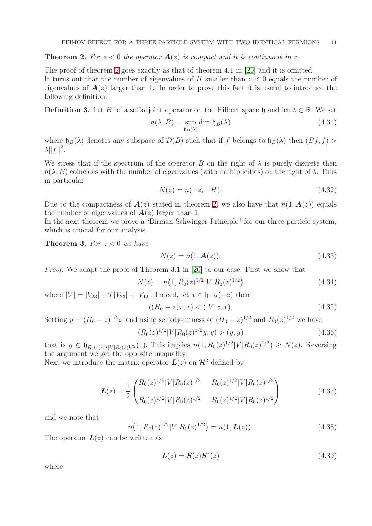<span id="page-10-0"></span>**Theorem 2.** For  $z < 0$  the operator  $A(z)$  is compact and it is continuous in z.

The proof of theorem [2](#page-10-0) goes exactly as that of theorem 4.1 in [\[20\]](#page-25-1) and it is omitted. It turns out that the number of eigenvalues of  $H$  smaller than  $z < 0$  equals the number of eigenvalues of  $A(z)$  larger than 1. In order to prove this fact it is useful to introduce the following definition.

**Definition 3.** Let B be a selfadjoint operator on the Hilbert space h and let  $\lambda \in \mathbb{R}$ . We set

$$
n(\lambda, B) = \sup_{\mathfrak{h}_B(\lambda)} \dim \mathfrak{h}_B(\lambda)
$$
\n(4.31)

where  $h_B(\lambda)$  denotes any subspace of  $\mathcal{D}(B)$  such that if f belongs to  $h_B(\lambda)$  then  $(Bf, f)$  $\lambda ||f||^2$ .

We stress that if the spectrum of the operator  $B$  on the right of  $\lambda$  is purely discrete then  $n(\lambda, B)$  coincides with the number of eigenvalues (with multiplicities) on the right of  $\lambda$ . Thus in particular

$$
N(z) = n(-z, -H). \t\t(4.32)
$$

Due to the compactness of  $A(z)$  stated in theorem [2,](#page-10-0) we also have that  $n(1, A(z))$  equals the number of eigenvalues of  $A(z)$  larger than 1.

In the next theorem we prove a "Birman-Schwinger Principle" for our three-particle system, which is crucial for our analysis.

<span id="page-10-3"></span>**Theorem 3.** For  $z < 0$  we have

$$
N(z) = n(1, \mathbf{A}(z)).
$$
\n(4.33)

Proof. We adapt the proof of Theorem 3.1 in [\[20\]](#page-25-1) to our case. First we show that

<span id="page-10-1"></span>
$$
N(z) = n(1, R_0(z)^{1/2} |V| R_0(z)^{1/2})
$$
\n(4.34)

where  $|V| = |V_{23}| + T|V_{23}| + |V_{12}|$ . Indeed, let  $x \in \mathfrak{h}_{-H}(-z)$  then

$$
((H_0 - z)x, x) < (|V|x, x). \tag{4.35}
$$

Setting  $y = (H_0 - z)^{1/2}x$  and using selfadjointness of  $(H_0 - z)^{1/2}$  and  $R_0(z)^{1/2}$  we have

$$
(R_0(z)^{1/2}|V|R_0(z)^{1/2}y,y) > (y,y)
$$
\n(4.36)

that is  $y \in \mathfrak{h}_{R_0(z)^{1/2}|V|R_0(z)^{1/2}}(1)$ . This implies  $n(1, R_0(z)^{1/2}|V|R_0(z)^{1/2}) \geq N(z)$ . Reversing the argument we get the opposite inequality.

Next we introduce the matrix operator  $L(z)$  on  $\mathcal{H}^2$  defined by

$$
L(z) = \frac{1}{2} \begin{pmatrix} R_0(z)^{1/2} |V| R_0(z)^{1/2} & R_0(z)^{1/2} |V| R_0(z)^{1/2} \\ R_0(z)^{1/2} |V| R_0(z)^{1/2} & R_0(z)^{1/2} |V| R_0(z)^{1/2} \end{pmatrix}
$$
(4.37)

and we note that

<span id="page-10-2"></span>
$$
n\left(1, R_0(z)^{1/2} |V|R_0(z)^{1/2}\right) = n(1, L(z)).\tag{4.38}
$$

The operator  $L(z)$  can be written as

$$
L(z) = S(z)S^*(z) \tag{4.39}
$$

where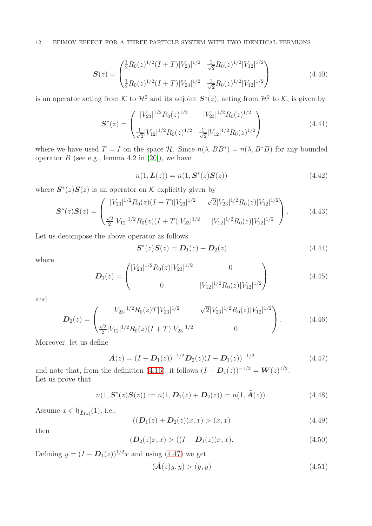$$
\mathbf{S}(z) = \begin{pmatrix} \frac{1}{2} R_0(z)^{1/2} (I+T) |V_{23}|^{1/2} & \frac{1}{\sqrt{2}} R_0(z)^{1/2} |V_{12}|^{1/2} \\ \frac{1}{2} R_0(z)^{1/2} (I+T) |V_{23}|^{1/2} & \frac{1}{\sqrt{2}} R_0(z)^{1/2} |V_{12}|^{1/2} \end{pmatrix}
$$
(4.40)

is an operator acting from K to  $\mathcal{H}^2$  and its adjoint  $S^*(z)$ , acting from  $\mathcal{H}^2$  to K, is given by

$$
\mathbf{S}^*(z) = \begin{pmatrix} |V_{23}|^{1/2} R_0(z)^{1/2} & |V_{23}|^{1/2} R_0(z)^{1/2} \\ \frac{1}{\sqrt{2}} |V_{12}|^{1/2} R_0(z)^{1/2} & \frac{1}{\sqrt{2}} |V_{12}|^{1/2} R_0(z)^{1/2} \end{pmatrix}
$$
(4.41)

where we have used  $T = I$  on the space  $\mathcal{H}$ . Since  $n(\lambda, BB^*) = n(\lambda, B^*B)$  for any bounded operator  $B$  (see e.g., lemma 4.2 in [\[20\]](#page-25-1)), we have

<span id="page-11-1"></span>
$$
n(1, L(z)) = n(1, S^*(z)S(z))
$$
\n(4.42)

where  $S^*(z)S(z)$  is an operator on K explicitly given by

$$
\mathbf{S}^*(z)\mathbf{S}(z) = \begin{pmatrix} |V_{23}|^{1/2} R_0(z)(I+T)|V_{23}|^{1/2} & \sqrt{2}|V_{23}|^{1/2} R_0(z)|V_{12}|^{1/2} \\ \frac{\sqrt{2}}{2}|V_{12}|^{1/2} R_0(z)(I+T)|V_{23}|^{1/2} & |V_{12}|^{1/2} R_0(z)|V_{12}|^{1/2} \end{pmatrix}.
$$
 (4.43)

Let us decompose the above operator as follows

$$
S^*(z)S(z) = D_1(z) + D_2(z)
$$
\n(4.44)

where

$$
\boldsymbol{D}_{1}(z) = \begin{pmatrix} |V_{23}|^{1/2} R_{0}(z) |V_{23}|^{1/2} & 0\\ 0 & |V_{12}|^{1/2} R_{0}(z) |V_{12}|^{1/2} \end{pmatrix}
$$
(4.45)

and

$$
\boldsymbol{D}_{2}(z) = \begin{pmatrix} |V_{23}|^{1/2} R_{0}(z) T |V_{23}|^{1/2} & \sqrt{2} |V_{23}|^{1/2} R_{0}(z) |V_{12}|^{1/2} \\ \frac{\sqrt{2}}{2} |V_{12}|^{1/2} R_{0}(z) (I+T) |V_{23}|^{1/2} & 0 \end{pmatrix}.
$$
 (4.46)

Moreover, let us define

<span id="page-11-0"></span>
$$
\tilde{A}(z) = (I - D_1(z))^{-1/2} D_2(z) (I - D_1(z))^{-1/2}
$$
\n(4.47)

and note that, from the definition [\(4.16\)](#page-8-1), it follows  $(I - D_1(z))^{-1/2} = W(z)^{1/2}$ . Let us prove that

<span id="page-11-2"></span>
$$
n(1, \mathbf{S}^*(z)\mathbf{S}(z)) := n(1, \mathbf{D}_1(z) + \mathbf{D}_2(z)) = n(1, \tilde{\mathbf{A}}(z)).
$$
\n(4.48)

Assume  $x \in \mathfrak{h}_{\tilde{L}(z)}(1)$ , i.e.,

$$
((\mathbf{D}_1(z) + \mathbf{D}_2(z))x, x) > (x, x)
$$
\n(4.49)

then

$$
(\mathbf{D}_2(z)x, x) > ((I - \mathbf{D}_1(z))x, x). \tag{4.50}
$$

Defining  $y = (I - D_1(z))^{1/2}x$  and using [\(4.47\)](#page-11-0) we get

$$
(\tilde{A}(z)y, y) > (y, y)
$$
\n
$$
(4.51)
$$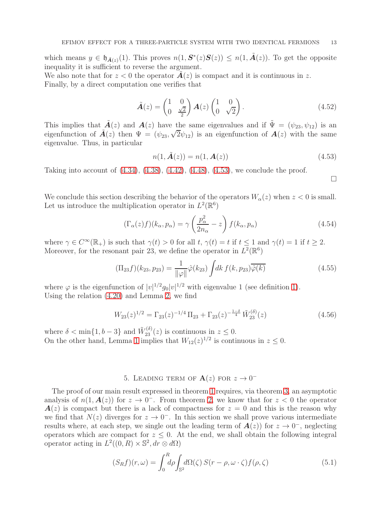which means  $y \in \mathfrak{h}_{\tilde{A}(z)}(1)$ . This proves  $n(1, \mathcal{S}^*(z)S(z)) \leq n(1, \tilde{A}(z))$ . To get the opposite inequality it is sufficient to reverse the argument.

We also note that for  $z < 0$  the operator  $A(z)$  is compact and it is continuous in z. Finally, by a direct computation one verifies that

$$
\tilde{\boldsymbol{A}}(z) = \begin{pmatrix} 1 & 0 \\ 0 & \frac{\sqrt{2}}{2} \end{pmatrix} \boldsymbol{A}(z) \begin{pmatrix} 1 & 0 \\ 0 & \sqrt{2} \end{pmatrix} . \tag{4.52}
$$

This implies that  $\tilde{A}(z)$  and  $A(z)$  have the same eigenvalues and if  $\tilde{\Psi} = (\psi_{23}, \psi_{12})$  is an eigenfunction of  $\tilde{A}(z)$  then  $\Psi = (\psi_{23}, \sqrt{2}\psi_{12})$  is an eigenfunction of  $A(z)$  with the same eigenvalue. Thus, in particular

<span id="page-12-0"></span>
$$
n(1, \tilde{A}(z)) = n(1, A(z))
$$
\n(4.53)

Taking into account of [\(4.34\)](#page-10-1), [\(4.38\)](#page-10-2), [\(4.42\)](#page-11-1), [\(4.48\)](#page-11-2), [\(4.53\)](#page-12-0), we conclude the proof.

 $\Box$ 

We conclude this section describing the behavior of the operators  $W_{\alpha}(z)$  when  $z < 0$  is small. Let us introduce the multiplication operator in  $L^2(\mathbb{R}^6)$ 

<span id="page-12-1"></span>
$$
(\Gamma_{\alpha}(z)f)(k_{\alpha}, p_{\alpha}) = \gamma \left(\frac{p_{\alpha}^2}{2n_{\alpha}} - z\right) f(k_{\alpha}, p_{\alpha})
$$
\n(4.54)

where  $\gamma \in C^{\infty}(\mathbb{R}_{+})$  is such that  $\gamma(t) > 0$  for all t,  $\gamma(t) = t$  if  $t \leq 1$  and  $\gamma(t) = 1$  if  $t \geq 2$ . Moreover, for the resonant pair 23, we define the operator in  $L^2(\mathbb{R}^6)$ 

<span id="page-12-2"></span>
$$
(\Pi_{23} f)(k_{23}, p_{23}) = \frac{1}{\|\varphi\|} \hat{\varphi}(k_{23}) \int dk f(k, p_{23}) \overline{\hat{\varphi}(k)}
$$
(4.55)

where  $\varphi$  is the eigenfunction of  $|v|^{1/2}g_0|v|^{1/2}$  with eigenvalue 1 (see definition [1\)](#page-4-5). Using the relation [\(4.20\)](#page-9-2) and Lemma [2,](#page-6-2) we find

<span id="page-12-3"></span>
$$
W_{23}(z)^{1/2} = \Gamma_{23}(z)^{-1/4} \Pi_{23} + \Gamma_{23}(z)^{-\frac{1-\delta}{4}} \tilde{W}_{23}^{(\delta)}(z)
$$
(4.56)

where  $\delta < \min\{1, b - 3\}$  and  $\tilde{W}_{23}^{(\delta)}(z)$  is continuous in  $z \leq 0$ . On the other hand, Lemma [1](#page-6-1) implies that  $W_{12}(z)^{1/2}$  is continuous in  $z \leq 0$ .

# 5. LEADING TERM OF  $\mathbf{A}(z)$  FOR  $z \to 0^-$

The proof of our main result expressed in theorem [1](#page-5-2) requires, via theorem [3,](#page-10-3) an asymptotic analysis of  $n(1, A(z))$  for  $z \to 0^-$ . From theorem [2,](#page-10-0) we know that for  $z < 0$  the operator  $A(z)$  is compact but there is a lack of compactness for  $z = 0$  and this is the reason why we find that  $N(z)$  diverges for  $z \to 0^-$ . In this section we shall prove various intermediate results where, at each step, we single out the leading term of  $\mathbf{A}(z)$  for  $z \to 0^-$ , neglecting operators which are compact for  $z \leq 0$ . At the end, we shall obtain the following integral operator acting in  $L^2((0, R) \times \mathbb{S}^2, dr \otimes d\Omega)$ 

<span id="page-12-4"></span>
$$
(S_R f)(r,\omega) = \int_0^R d\rho \int_{\mathbb{S}^2} d\Omega(\zeta) S(r-\rho,\omega\cdot\zeta) f(\rho,\zeta)
$$
(5.1)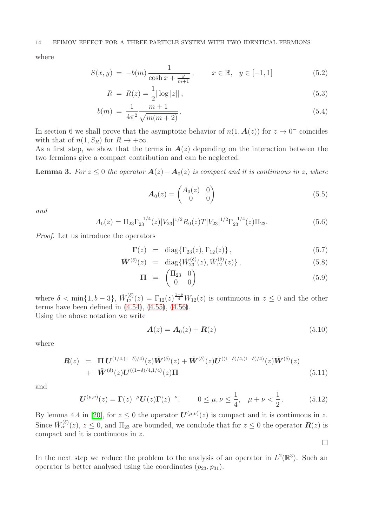where

<span id="page-13-0"></span>
$$
S(x, y) = -b(m) \frac{1}{\cosh x + \frac{y}{m+1}}, \qquad x \in \mathbb{R}, \quad y \in [-1, 1]
$$
 (5.2)

$$
R = R(z) = \frac{1}{2} |\log |z||,
$$
\n(5.3)

$$
b(m) = \frac{1}{4\pi^2} \frac{m+1}{\sqrt{m(m+2)}}.
$$
\n(5.4)

In section 6 we shall prove that the asymptotic behavior of  $n(1, \mathbf{A}(z))$  for  $z \to 0^-$  coincides with that of  $n(1, S_R)$  for  $R \to +\infty$ .

As a first step, we show that the terms in  $A(z)$  depending on the interaction between the two fermions give a compact contribution and can be neglected.

<span id="page-13-1"></span>**Lemma 3.** For  $z \leq 0$  the operator  $A(z) - A_0(z)$  is compact and it is continuous in z, where

$$
\boldsymbol{A}_0(z) = \begin{pmatrix} A_0(z) & 0\\ 0 & 0 \end{pmatrix} \tag{5.5}
$$

and

$$
A_0(z) = \Pi_{23} \Gamma_{23}^{-1/4}(z) |V_{23}|^{1/2} R_0(z) T |V_{23}|^{1/2} \Gamma_{23}^{-1/4}(z) \Pi_{23}.
$$
 (5.6)

Proof. Let us introduce the operators

$$
\Gamma(z) = \text{diag}\{\Gamma_{23}(z), \Gamma_{12}(z)\},\tag{5.7}
$$

$$
\tilde{\bm{W}}^{(\delta)}(z) = \text{diag}\{\tilde{W}_{23}^{(\delta)}(z), \tilde{W}_{12}^{(\delta)}(z)\},\tag{5.8}
$$

$$
\Pi = \begin{pmatrix} \Pi_{23} & 0 \\ 0 & 0 \end{pmatrix} \tag{5.9}
$$

where  $\delta < \min\{1, b-3\}, \ \tilde{W}_{12}^{(\delta)}(z) = \Gamma_{12}(z)^{\frac{1-\delta}{4}} W_{12}(z)$  is continuous in  $z \leq 0$  and the other terms have been defined in  $(4.54)$ ,  $(4.55)$ ,  $(4.56)$ .

Using the above notation we write

$$
\mathbf{A}(z) = \mathbf{A}_0(z) + \mathbf{R}(z) \tag{5.10}
$$

 $\Box$ 

where

$$
\mathbf{R}(z) = \Pi \mathbf{U}^{(1/4,(1-\delta)/4)}(z)\tilde{\mathbf{W}}^{(\delta)}(z) + \tilde{\mathbf{W}}^{(\delta)}(z)\mathbf{U}^{((1-\delta)/4,(1-\delta)/4)}(z)\tilde{\mathbf{W}}^{(\delta)}(z) \n+ \tilde{\mathbf{W}}^{(\delta)}(z)\mathbf{U}^{((1-\delta)/4,1/4)}(z)\Pi
$$
\n(5.11)

and

$$
\mathbf{U}^{(\mu,\nu)}(z) = \Gamma(z)^{-\mu} \mathbf{U}(z) \Gamma(z)^{-\nu}, \qquad 0 \le \mu, \nu \le \frac{1}{4}, \quad \mu + \nu < \frac{1}{2} \,. \tag{5.12}
$$

By lemma 4.4 in [\[20\]](#page-25-1), for  $z \le 0$  the operator  $\mathbf{U}^{(\mu,\nu)}(z)$  is compact and it is continuous in z. Since  $\tilde{W}^{(\delta)}_{\alpha}(z), z \leq 0$ , and  $\Pi_{23}$  are bounded, we conclude that for  $z \leq 0$  the operator  $\mathbf{R}(z)$  is compact and it is continuous in z.

In the next step we reduce the problem to the analysis of an operator in  $L^2(\mathbb{R}^3)$ . Such an operator is better analysed using the coordinates  $(p_{23}, p_{31})$ .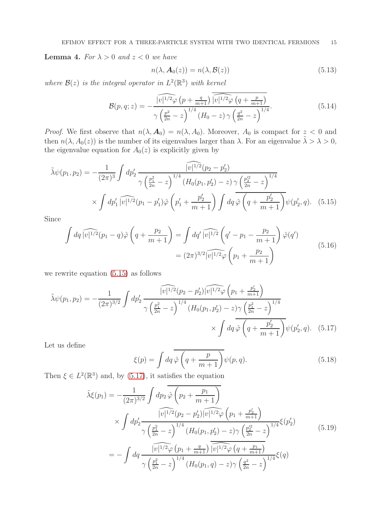<span id="page-14-2"></span>**Lemma 4.** For  $\lambda > 0$  and  $z < 0$  we have

<span id="page-14-0"></span>
$$
n(\lambda, \mathbf{A}_0(z)) = n(\lambda, \mathcal{B}(z))
$$
\n(5.13)

where  $\mathcal{B}(z)$  is the integral operator in  $L^2(\mathbb{R}^3)$  with kernel

$$
\mathcal{B}(p,q;z) = -\frac{\widehat{|v|^{1/2}\varphi(p + \frac{q}{m+1})} \widehat{|v|^{1/2}\varphi(q + \frac{p}{m+1})}}{\gamma \left(\frac{p^2}{2n} - z\right)^{1/4} (H_0 - z) \gamma \left(\frac{q^2}{2n} - z\right)^{1/4}}.
$$
\n(5.14)

*Proof.* We first observe that  $n(\lambda, A_0) = n(\lambda, A_0)$ . Moreover,  $A_0$  is compact for  $z < 0$  and then  $n(\lambda, A_0(z))$  is the number of its eigenvalues larger than  $\lambda$ . For an eigenvalue  $\tilde{\lambda} > \lambda > 0$ , the eigenvalue equation for  $A_0(z)$  is explicitly given by

$$
\tilde{\lambda}\psi(p_1, p_2) = -\frac{1}{(2\pi)^3} \int dp'_2 \frac{\widehat{|v|^{1/2}}(p_2 - p'_2)}{\gamma \left(\frac{p_1^2}{2n} - z\right)^{1/4} \left(H_0(p_1, p'_2) - z\right) \gamma \left(\frac{p_2'^2}{2n} - z\right)^{1/4}} \times \int dp'_1 \widehat{|v|^{1/2}}(p_1 - p'_1)\hat{\varphi}\left(p'_1 + \frac{p'_2}{m+1}\right) \int dq \,\hat{\varphi}\left(q + \frac{p'_2}{m+1}\right)\psi(p'_2, q). \tag{5.15}
$$

Since

$$
\int dq \widehat{|v|^{1/2}}(p_1 - q)\hat{\varphi}\left(q + \frac{p_2}{m+1}\right) = \int dq' \widehat{|v|^{1/2}}\left(q' - p_1 - \frac{p_2}{m+1}\right)\hat{\varphi}(q')
$$
\n
$$
= (2\pi)^{3/2} \widehat{|v|^{1/2}\varphi}\left(p_1 + \frac{p_2}{m+1}\right)
$$
\n(5.16)

we rewrite equation [\(5.15\)](#page-14-0) as follows

$$
\tilde{\lambda}\psi(p_1, p_2) = -\frac{1}{(2\pi)^{3/2}} \int dp'_2 \frac{\widehat{|v|^{1/2}(p_2 - p'_2) |v|^{1/2}\varphi(p_1 + \frac{p'_2}{m+1})}}{\gamma \left(\frac{p_1^2}{2n} - z\right)^{1/4} (H_0(p_1, p'_2) - z)\gamma \left(\frac{p_1^2}{2n} - z\right)^{1/4}} \times \int dq \,\hat{\varphi}\left(q + \frac{p'_2}{m+1}\right)\psi(p'_2, q). \tag{5.17}
$$

Let us define

<span id="page-14-1"></span>
$$
\xi(p) = \int dq \overline{\hat{\varphi} \left( q + \frac{p}{m+1} \right)} \psi(p, q). \tag{5.18}
$$

Then  $\xi \in L^2(\mathbb{R}^3)$  and, by [\(5.17\)](#page-14-1), it satisfies the equation

$$
\tilde{\lambda}\xi(p_1) = -\frac{1}{(2\pi)^{3/2}} \int dp_2 \overline{\hat{\varphi} \left(p_2 + \frac{p_1}{m+1}\right)} \times \int dp_2' \frac{\widehat{|v|^{1/2}(p_2 - p_2')|\widehat{v}|^{1/2}\varphi \left(p_1 + \frac{p_2'}{m+1}\right)}}{\gamma \left(\frac{p_1^2}{2n} - z\right)^{1/4} \left(H_0(p_1, p_2') - z\right) \gamma \left(\frac{p_2^2}{2n} - z\right)^{1/4}} \xi(p_2')
$$
\n
$$
= -\int dq \frac{\widehat{|v|^{1/2}\varphi \left(p_1 + \frac{q}{m+1}\right)} \widehat{|v|^{1/2}\varphi \left(q + \frac{p_1}{m+1}\right)}}{\gamma \left(\frac{p_1^2}{2n} - z\right)^{1/4} \left(H_0(p_1, q) - z\right) \gamma \left(\frac{q^2}{2n} - z\right)^{1/4}} \xi(q)
$$
\n(5.19)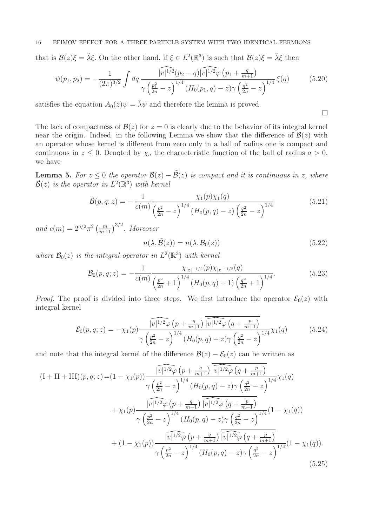## 16 EFIMOV EFFECT FOR A THREE-PARTICLE SYSTEM WITH TWO IDENTICAL FERMIONS

that is  $\mathcal{B}(z)\xi = \tilde{\lambda}\xi$ . On the other hand, if  $\xi \in L^2(\mathbb{R}^3)$  is such that  $\mathcal{B}(z)\xi = \tilde{\lambda}\xi$  then

$$
\psi(p_1, p_2) = -\frac{1}{(2\pi)^{3/2}} \int dq \frac{\widehat{|v|^{1/2}(p_2 - q)|v|^{1/2}\varphi(p_1 + \frac{q}{m+1})}}{\gamma \left(\frac{p_1^2}{2n} - z\right)^{1/4} (H_0(p_1, q) - z)\gamma \left(\frac{q^2}{2n} - z\right)^{1/4}} \xi(q) \tag{5.20}
$$

satisfies the equation  $A_0(z)\psi = \tilde{\lambda}\psi$  and therefore the lemma is proved.

The lack of compactness of  $\mathcal{B}(z)$  for  $z = 0$  is clearly due to the behavior of its integral kernel near the origin. Indeed, in the following Lemma we show that the difference of  $\mathcal{B}(z)$  with an operator whose kernel is different from zero only in a ball of radius one is compact and continuous in  $z \leq 0$ . Denoted by  $\chi_a$  the characteristic function of the ball of radius  $a > 0$ , we have

<span id="page-15-1"></span>**Lemma 5.** For  $z \leq 0$  the operator  $\mathcal{B}(z) - \tilde{\mathcal{B}}(z)$  is compact and it is continuous in z, where  $\tilde{\mathcal{B}}(z)$  is the operator in  $L^2(\mathbb{R}^3)$  with kernel

$$
\tilde{\mathcal{B}}(p,q;z) = -\frac{1}{c(m)} \frac{\chi_1(p)\chi_1(q)}{\left(\frac{p^2}{2n} - z\right)^{1/4} \left(H_0(p,q) - z\right) \left(\frac{q^2}{2n} - z\right)^{1/4}}\tag{5.21}
$$

and  $c(m) = 2^{5/2} \pi^2 \left(\frac{m}{m+1}\right)^{3/2}$ . Moreover

<span id="page-15-0"></span>
$$
n(\lambda, \tilde{\mathcal{B}}(z)) = n(\lambda, \mathcal{B}_0(z))
$$
\n(5.22)

 $\Box$ 

where  $\mathcal{B}_0(z)$  is the integral operator in  $L^2(\mathbb{R}^3)$  with kernel

$$
\mathcal{B}_0(p,q;z) = -\frac{1}{c(m)} \frac{\chi_{|z|^{-1/2}}(p)\chi_{|z|^{-1/2}}(q)}{\left(\frac{p^2}{2n}+1\right)^{1/4} \left(H_0(p,q)+1\right)\left(\frac{q^2}{2n}+1\right)^{1/4}}.
$$
\n(5.23)

*Proof.* The proof is divided into three steps. We first introduce the operator  $\mathcal{E}_0(z)$  with integral kernel

$$
\mathcal{E}_0(p,q;z) = -\chi_1(p) \frac{\widehat{|v|^{1/2}\varphi(p + \frac{q}{m+1})} \widehat{|v|^{1/2}\varphi(q + \frac{p}{m+1})}}{\gamma \left(\frac{p^2}{2n} - z\right)^{1/4} (H_0(p,q) - z) \gamma \left(\frac{q^2}{2n} - z\right)^{1/4}} \chi_1(q) \tag{5.24}
$$

and note that the integral kernel of the difference  $\mathcal{B}(z) - \mathcal{E}_0(z)$  can be written as

$$
(I + II + III)(p, q; z) = (1 - \chi_1(p)) \frac{\sqrt{v^{1/2}\varphi (p + \frac{q}{m+1})} \sqrt{v^{1/2}\varphi (q + \frac{p}{m+1})}}{\sqrt{\left(\frac{p^2}{2n} - z\right)^{1/4}} (H_0(p, q) - z) \sqrt{\left(\frac{q^2}{2n} - z\right)^{1/4}} \chi_1(q)} + \chi_1(p) \frac{\sqrt{v^{1/2}\varphi (p + \frac{q}{m+1})} \sqrt{v^{1/2}\varphi (q + \frac{p}{m+1})}}{\sqrt{\left(\frac{p^2}{2n} - z\right)^{1/4}} (H_0(p, q) - z) \sqrt{\left(\frac{q^2}{2n} - z\right)^{1/4}} (1 - \chi_1(q))} + (1 - \chi_1(p)) \frac{\sqrt{v^{1/2}\varphi (p + \frac{q}{m+1})} \sqrt{v^{1/2}\varphi (q + \frac{p}{m+1})}}{\sqrt{\left(\frac{p^2}{2n} - z\right)^{1/4}} (H_0(p, q) - z) \sqrt{\left(\frac{q^2}{2n} - z\right)^{1/4}} (1 - \chi_1(q)).
$$
\n(5.25)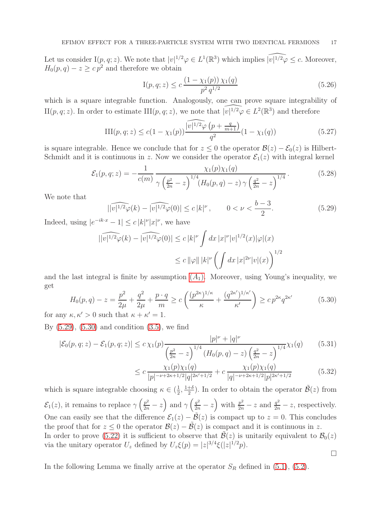Let us consider  $I(p, q; z)$ . We note that  $|v|^{1/2}\varphi \in L^1(\mathbb{R}^3)$  which implies  $\widehat{|v|^{1/2}\varphi} \leq c$ . Moreover,  $H_0(p,q) - z \geq c p^2$  and therefore we obtain

$$
I(p,q;z) \le c \frac{\left(1 - \chi_1(p)\right)\chi_1(q)}{p^2 q^{1/2}}\tag{5.26}
$$

which is a square integrable function. Analogously, one can prove square integrability of II $(p, q; z)$ . In order to estimate III $(p, q; z)$ , we note that  $\widehat{|v|^{1/2}\varphi} \in L^2(\mathbb{R}^3)$  and therefore

$$
III(p,q;z) \le c(1 - \chi_1(p)) \frac{\widehat{|v|^{1/2}\varphi(p + \frac{q}{m+1})}}{q^2} (1 - \chi_1(q))
$$
\n(5.27)

is square integrable. Hence we conclude that for  $z \leq 0$  the operator  $\mathcal{B}(z) - \mathcal{E}_0(z)$  is Hilbert-Schmidt and it is continuous in z. Now we consider the operator  $\mathcal{E}_1(z)$  with integral kernel

$$
\mathcal{E}_1(p,q;z) = -\frac{1}{c(m)} \frac{\chi_1(p)\chi_1(q)}{\gamma \left(\frac{p^2}{2n} - z\right)^{1/4} \left(H_0(p,q) - z\right) \gamma \left(\frac{q^2}{2n} - z\right)^{1/4}}.
$$
\n(5.28)

We note that

<span id="page-16-0"></span>
$$
||\widehat{v|^{1/2}\varphi(k)} - \widehat{|v|^{1/2}\varphi(0)}| \le c |k|^\nu, \qquad 0 < \nu < \frac{b-3}{2}.
$$
 (5.29)

Indeed, using  $|e^{-ik \cdot x} - 1| \leq c |k|^{\nu} |x|^{\nu}$ , we have

$$
\|\widehat{|v|^{1/2}\varphi(k)} - \widehat{|v|^{1/2}\varphi(0)}\| \le c\|k\|^\nu \int dx \, |x|^\nu |v|^{1/2}(x)|\varphi|(x)
$$
  

$$
\le c\|\varphi\| \, |k|^\nu \left(\int dx \, |x|^{2\nu} |v|(x)\right)^{1/2}
$$

and the last integral is finite by assumption  $(A_1)$  $(A_1)$  $(A_1)$ . Moreover, using Young's inequality, we get

<span id="page-16-1"></span>
$$
H_0(p,q) - z = \frac{p^2}{2\mu} + \frac{q^2}{2\mu} + \frac{p \cdot q}{m} \ge c \left( \frac{(p^{2\kappa})^{1/\kappa}}{\kappa} + \frac{(q^{2\kappa'})^{1/\kappa'}}{\kappa'} \right) \ge c p^{2\kappa} q^{2\kappa'} \tag{5.30}
$$
  
for any  $\kappa, \kappa' > 0$  such that  $\kappa + \kappa' = 1$ .

By [\(5.29\)](#page-16-0), [\(5.30\)](#page-16-1) and condition [\(3.5\)](#page-6-3), we find

$$
|\mathcal{E}_0(p,q;z) - \mathcal{E}_1(p,q;z)| \le c \chi_1(p) \frac{|p|^{\nu} + |q|^{\nu}}{\left(\frac{p^2}{2n} - z\right)^{1/4} \left(H_0(p,q) - z\right) \left(\frac{q^2}{2n} - z\right)^{1/4}} \chi_1(q) \tag{5.31}
$$

$$
\leq c \frac{\chi_1(p)\chi_1(q)}{|p|^{-\nu+2\kappa+1/2}|q|^{2\kappa'+1/2}} + c \frac{\chi_1(p)\chi_1(q)}{|q|^{-\nu+2\kappa+1/2}|p|^{2\kappa'+1/2}} \tag{5.32}
$$

which is square integrable choosing  $\kappa \in (\frac{1}{2})$  $\frac{1}{2}, \frac{1+\delta}{2}$  $\frac{+\delta}{2}$ ). In order to obtain the operator  $\tilde{\mathcal{B}}(z)$  from  $\mathcal{E}_1(z)$ , it remains to replace  $\gamma\left(\frac{p^2}{2n} - z\right)$  and  $\gamma\left(\frac{q^2}{2n} - z\right)$  with  $\frac{p^2}{2n} - z$  and  $\frac{q^2}{2n} - z$ , respectively. One can easily see that the difference  $\mathcal{E}_1(z) - \tilde{\mathcal{B}}(z)$  is compact up to  $z = 0$ . This concludes the proof that for  $z \leq 0$  the operator  $\mathcal{B}(z) - \mathcal{B}(z)$  is compact and it is continuous in z. In order to prove [\(5.22\)](#page-15-0) it is sufficient to observe that  $\tilde{\mathcal{B}}(z)$  is unitarily equivalent to  $\mathcal{B}_0(z)$ via the unitary operator  $U_z$  defined by  $U_z \xi(p) = |z|^{3/4} \xi(|z|^{1/2} p)$ .  $\Box$ 

In the following Lemma we finally arrive at the operator  $S_R$  defined in [\(5.1\)](#page-12-4), [\(5.2\)](#page-13-0).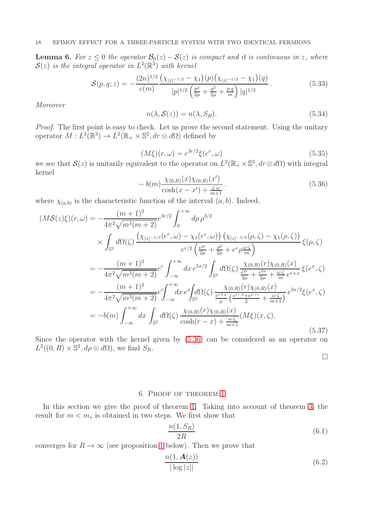<span id="page-17-2"></span>**Lemma 6.** For  $z \leq 0$  the operator  $\mathcal{B}_0(z) - \mathcal{S}(z)$  is compact and it is continuous in z, where  $\mathcal{S}(z)$  is the integral operator in  $L^2(\mathbb{R}^3)$  with kernel

$$
S(p,q;z) = -\frac{(2n)^{1/2}}{c(m)} \frac{\left(\chi_{|z|^{-1/2}} - \chi_1\right)(p)\left(\chi_{|z|^{-1/2}} - \chi_1\right)(q)}{|p|^{1/2}\left(\frac{p^2}{2\mu} + \frac{q^2}{2\mu} + \frac{p \cdot q}{m}\right)|q|^{1/2}}.\tag{5.33}
$$

Moreover

$$
n(\lambda, \mathcal{S}(z)) = n(\lambda, S_R). \tag{5.34}
$$

Proof. The first point is easy to check. Let us prove the second statement. Using the unitary operator  $M: L^2(\mathbb{R}^3) \to L^2(\mathbb{R}_+ \times \mathbb{S}^2, dr \otimes d\Omega)$  defined by

<span id="page-17-3"></span>
$$
(M\xi)(r,\omega) = e^{3r/2}\xi(e^r,\omega)
$$
\n(5.35)

we see that  $\mathcal{S}(z)$  is unitarily equivalent to the operator on  $L^2(\mathbb{R}_+ \times \mathbb{S}^2, dr \otimes d\Omega)$  with integral kernel

<span id="page-17-0"></span>
$$
-b(m)\frac{\chi_{(0,R)}(x)\chi_{(0,R)}(x')}{\cosh(x-x')+\frac{\zeta\cdot\omega}{m+1}}.
$$
\n(5.36)

where  $\chi_{(a,b)}$  is the characteristic function of the interval  $(a, b)$ . Indeed,

$$
(M\mathcal{S}(z)\xi)(r,\omega) = -\frac{(m+1)^2}{4\pi^2\sqrt{m^3(m+2)}}e^{3r/2}\int_0^{+\infty} d\rho \rho^{3/2}
$$
  
\n
$$
\times \int_{\mathbb{S}^2} d\Omega(\zeta) \frac{(\chi_{|z|-1/2}(e^r,\omega) - \chi_1(e^r,\omega))(\chi_{|z|-1/2}(\rho,\zeta) - \chi_1(\rho,\zeta))}{e^{r/2}(\frac{e^{2r}}{2\mu} + \frac{\rho^2}{2\mu} + e^r \rho \frac{\omega \cdot \zeta}{m})} \xi(\rho,\zeta)
$$
  
\n
$$
= -\frac{(m+1)^2}{4\pi^2\sqrt{m^3(m+2)}}e^r \int_{-\infty}^{+\infty} dx e^{5x/2} \int_{\mathbb{S}^2} d\Omega(\zeta) \frac{\chi_{(0,R)}(r)\chi_{(0,R)}(x)}{\frac{e^{2r}}{2\mu} + \frac{e^{2r}}{2\mu} + \frac{\omega \cdot \zeta}{m}e^{r+x}} \xi(e^x,\zeta)
$$
  
\n
$$
= -\frac{(m+1)^2}{4\pi^2\sqrt{m^3(m+2)}}e^r \int_{-\infty}^{+\infty} dx e^r \int_{\mathbb{S}^2} d\Omega(\zeta) \frac{\chi_{(0,R)}(r)\chi_{(0,R)}(x)}{\frac{e^{r+x}}{\mu}(\frac{e^{r-x}+e^{x-r}}{2} + \frac{\omega \cdot \zeta}{m+1})} e^{3x/2}\xi(e^x,\zeta)
$$
  
\n
$$
= -b(m) \int_{-\infty}^{+\infty} dx \int_{\mathbb{S}^2} d\Omega(\zeta) \frac{\chi_{(0,R)}(r)\chi_{(0,R)}(x)}{\cosh(r-x) + \frac{\omega \cdot \zeta}{m+1}} (M\xi)(x,\zeta).
$$
  
\n(5.37)

Since the operator with the kernel given by [\(5.36\)](#page-17-0) can be considered as an operator on  $L^2((0, R) \times \mathbb{S}^2, d\rho \otimes d\Omega)$ , we find  $S_R$ .

 $\Box$ 

## 6. Proof of theorem [1](#page-5-2)

In this section we give the proof of theorem [1.](#page-5-2) Taking into account of theorem [3,](#page-10-3) the result for  $m < m_*$  is obtained in two steps. We first show that

<span id="page-17-1"></span>
$$
\frac{n(1, S_R)}{2R} \tag{6.1}
$$

converges for  $R \to \infty$  (see proposition [1](#page-18-0) below). Then we prove that

$$
\frac{n(1, \mathbf{A}(z))}{|\log |z||} \tag{6.2}
$$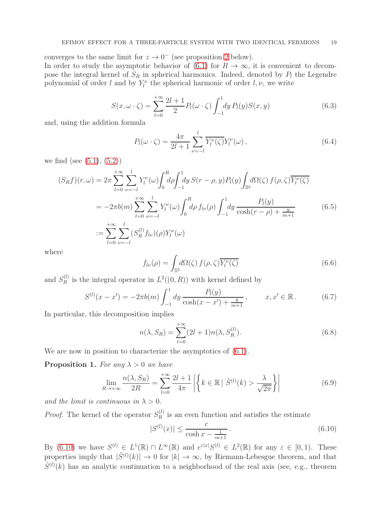converges to the same limit for  $z \to 0^-$  (see proposition [2](#page-20-0) below).

In order to study the asymptotic behavior of [\(6.1\)](#page-17-1) for  $R \to \infty$ , it is convenient to decompose the integral kernel of  $S_R$  in spherical harmonics. Indeed, denoted by  $P_l$  the Legendre polynomial of order l and by  $Y_l^{\nu}$  the spherical harmonic of order  $l, \nu$ , we write

$$
S(x, \omega \cdot \zeta) = \sum_{l=0}^{+\infty} \frac{2l+1}{2} P_l(\omega \cdot \zeta) \int_{-1}^{1} dy P_l(y) S(x, y)
$$
(6.3)

and, using the addition formula

$$
P_l(\omega \cdot \zeta) = \frac{4\pi}{2l+1} \sum_{\nu=-l}^{l} \overline{Y_l^{\nu}(\zeta)} Y_l^{\nu}(\omega) , \qquad (6.4)
$$

we find (see  $(5.1), (5.2)$  $(5.1), (5.2)$  $(5.1), (5.2)$ )

$$
(S_R f)(r, \omega) = 2\pi \sum_{l=0}^{+\infty} \sum_{\nu=-l}^{l} Y_l^{\nu}(\omega) \int_0^R d\rho \int_{-1}^1 dy \, S(r-\rho, y) P_l(y) \int_{\mathbb{S}^2} d\Omega(\zeta) f(\rho, \zeta) \overline{Y_l^{\nu}(\zeta)}
$$
  

$$
= -2\pi b(m) \sum_{l=0}^{+\infty} \sum_{\nu=-l}^{l} Y_l^{\nu}(\omega) \int_0^R d\rho \, f_{l\nu}(\rho) \int_{-1}^1 dy \, \frac{P_l(y)}{\cosh(r-\rho) + \frac{y}{m+1}}
$$
  

$$
:= \sum_{l=0}^{+\infty} \sum_{\nu=-l}^{l} (S_R^{(l)} f_{l\nu})(\rho) Y_l^{\nu}(\omega)
$$
 (6.5)

where

<span id="page-18-4"></span>
$$
f_{l\nu}(\rho) = \int_{\mathbb{S}^2} d\Omega(\zeta) f(\rho, \zeta) \overline{Y_l^{\nu}(\zeta)}
$$
(6.6)

and  $S_R^{(l)}$  $R_R^{(l)}$  is the integral operator in  $L^2((0,R))$  with kernel defined by

<span id="page-18-5"></span>
$$
S^{(l)}(x - x') = -2\pi b(m) \int_{-1}^{1} dy \frac{P_l(y)}{\cosh(x - x') + \frac{y}{m+1}}, \qquad x, x' \in \mathbb{R}.
$$
 (6.7)

In particular, this decomposition implies

<span id="page-18-2"></span>
$$
n(\lambda, S_R) = \sum_{l=0}^{+\infty} (2l+1)n(\lambda, S_R^{(l)}).
$$
 (6.8)

We are now in position to characterize the asymptotics of  $(6.1)$ .

<span id="page-18-0"></span>**Proposition 1.** For any  $\lambda > 0$  we have

<span id="page-18-3"></span>
$$
\lim_{R \to +\infty} \frac{n(\lambda, S_R)}{2R} = \sum_{l=0}^{+\infty} \frac{2l+1}{4\pi} \left| \left\{ k \in \mathbb{R} \mid \hat{S}^{(l)}(k) > \frac{\lambda}{\sqrt{2\pi}} \right\} \right| \tag{6.9}
$$

and the limit is continuous in  $\lambda > 0$ .

*Proof.* The kernel of the operator  $S_R^{(l)}$  $\mathbb{R}^{(l)}$  is an even function and satisfies the estimate

<span id="page-18-1"></span>
$$
|S^{(l)}(x)| \le \frac{c}{\cosh x - \frac{1}{m+1}}.
$$
\n(6.10)

By [\(6.10\)](#page-18-1) we have  $S^{(l)} \in L^1(\mathbb{R}) \cap L^{\infty}(\mathbb{R})$  and  $e^{\varepsilon |x|} S^{(l)} \in L^2(\mathbb{R})$  for any  $\varepsilon \in [0,1)$ . These properties imply that  $|\hat{S}^{(l)}(k)| \to 0$  for  $|k| \to \infty$ , by Riemann-Lebesgue theorem, and that  $\hat{S}^{(l)}(k)$  has an analytic continuation to a neighborhood of the real axis (see, e.g., theorem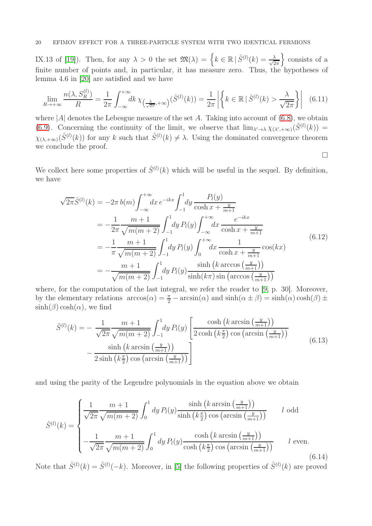## 20 EFIMOV EFFECT FOR A THREE-PARTICLE SYSTEM WITH TWO IDENTICAL FERMIONS

IX.13 of [\[19\]](#page-25-7)). Then, for any  $\lambda > 0$  the set  $\mathfrak{M}(\lambda) = \left\{ k \in \mathbb{R} \mid \hat{S}^{(l)}(k) = \frac{\lambda}{\sqrt{2}} \right\}$  $2\pi$ o consists of a finite number of points and, in particular, it has measure zero. Thus, the hypotheses of lemma 4.6 in [\[20\]](#page-25-1) are satisfied and we have

$$
\lim_{R \to +\infty} \frac{n(\lambda, S_R^{(l)})}{R} = \frac{1}{2\pi} \int_{-\infty}^{+\infty} dk \,\chi_{\left(\frac{\lambda}{\sqrt{2\pi}}, +\infty\right)}(\hat{S}^{(l)}(k)) = \frac{1}{2\pi} \left| \left\{ k \in \mathbb{R} \,|\, \hat{S}^{(l)}(k) > \frac{\lambda}{\sqrt{2\pi}} \right\} \right| \tag{6.11}
$$

where  $|A|$  denotes the Lebesgue measure of the set A. Taking into account of  $(6.8)$ , we obtain [\(6.9\)](#page-18-3). Concerning the continuity of the limit, we observe that  $\lim_{\lambda' \to \lambda} \chi_{(\lambda',+\infty)}(\hat{S}^{(l)}(k)) =$  $\chi_{(\lambda,+\infty)}(\hat{S}^{(l)}(k))$  for any k such that  $\hat{S}^{(l)}(k) \neq \lambda$ . Using the dominated convergence theorem we conclude the proof.  $\Box$ 

We collect here some properties of  $\hat{S}^{(l)}(k)$  which will be useful in the sequel. By definition, we have

$$
\sqrt{2\pi}\hat{S}^{(l)}(k) = -2\pi b(m) \int_{-\infty}^{+\infty} dx \, e^{-ikx} \int_{-1}^{1} dy \, \frac{P_l(y)}{\cosh x + \frac{y}{m+1}}
$$
\n
$$
= -\frac{1}{2\pi} \frac{m+1}{\sqrt{m(m+2)}} \int_{-1}^{1} dy \, P_l(y) \int_{-\infty}^{+\infty} dx \, \frac{e^{-ikx}}{\cosh x + \frac{y}{m+1}}
$$
\n
$$
= -\frac{1}{\pi} \frac{m+1}{\sqrt{m(m+2)}} \int_{-1}^{1} dy \, P_l(y) \int_{0}^{+\infty} dx \, \frac{1}{\cosh x + \frac{y}{m+1}} \cos(kx)
$$
\n
$$
= -\frac{m+1}{\sqrt{m(m+2)}} \int_{-1}^{1} dy \, P_l(y) \frac{\sinh (k \arccos(\frac{y}{m+1}))}{\sinh(k\pi) \sin(\arccos(\frac{y}{m+1}))}
$$
\n(6.12)

where, for the computation of the last integral, we refer the reader to [\[9,](#page-24-14) p. 30]. Moreover, by the elementary relations  $\arccos(\alpha) = \frac{\pi}{2} - \arcsin(\alpha)$  and  $\sinh(\alpha \pm \beta) = \sinh(\alpha) \cosh(\beta) \pm \frac{\pi}{2}$  $\sinh(\beta)\cosh(\alpha)$ , we find

$$
\hat{S}^{(l)}(k) = -\frac{1}{\sqrt{2\pi}} \frac{m+1}{\sqrt{m(m+2)}} \int_{-1}^{1} dy P_l(y) \left[ \frac{\cosh\left(k \arcsin\left(\frac{y}{m+1}\right)\right)}{2 \cosh\left(k\frac{\pi}{2}\right) \cos\left(\arcsin\left(\frac{y}{m+1}\right)\right)} - \frac{\sinh\left(k \arcsin\left(\frac{y}{m+1}\right)\right)}{2 \sinh\left(k\frac{\pi}{2}\right) \cos\left(\arcsin\left(\frac{y}{m+1}\right)\right)} \right]
$$
\n(6.13)

and using the parity of the Legendre polynomials in the equation above we obtain

<span id="page-19-0"></span>
$$
\hat{S}^{(l)}(k) = \begin{cases}\n\frac{1}{\sqrt{2\pi}} \frac{m+1}{\sqrt{m(m+2)}} \int_0^1 dy P_l(y) \frac{\sinh\left(k \arcsin\left(\frac{y}{m+1}\right)\right)}{\sinh\left(k\frac{\pi}{2}\right) \cos\left(\arcsin\left(\frac{y}{m+1}\right)\right)} & l \text{ odd} \\
-\frac{1}{\sqrt{2\pi}} \frac{m+1}{\sqrt{m(m+2)}} \int_0^1 dy P_l(y) \frac{\cosh\left(k \arcsin\left(\frac{y}{m+1}\right)\right)}{\cosh\left(k\frac{\pi}{2}\right) \cos\left(\arcsin\left(\frac{y}{m+1}\right)\right)} & l \text{ even.} \n\end{cases}
$$
\n(6.14)

Note that  $\hat{S}^{(l)}(k) = \hat{S}^{(l)}(-k)$ . Moreover, in [\[5\]](#page-24-10) the following properties of  $\hat{S}^{(l)}(k)$  are proved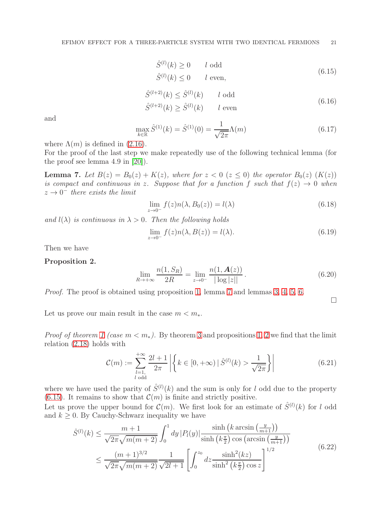<span id="page-20-2"></span>
$$
\hat{S}^{(l)}(k) \ge 0 \t l \text{ odd}
$$
\n
$$
\hat{S}^{(l)}(k) \le 0 \t l \text{ even},
$$
\n(6.15)

<span id="page-20-5"></span>
$$
\hat{S}^{(l+2)}(k) \le \hat{S}^{(l)}(k) \qquad l \text{ odd}
$$
\n
$$
\hat{S}^{(l+2)}(k) \ge \hat{S}^{(l)}(k) \qquad l \text{ even}
$$
\n(6.16)

and

<span id="page-20-4"></span>
$$
\max_{k \in \mathbb{R}} \hat{S}^{(1)}(k) = \hat{S}^{(1)}(0) = \frac{1}{\sqrt{2\pi}} \Lambda(m)
$$
\n(6.17)

where  $\Lambda(m)$  is defined in [\(2.16\)](#page-4-6).

For the proof of the last step we make repeatedly use of the following technical lemma (for the proof see lemma 4.9 in [\[20\]](#page-25-1)).

<span id="page-20-1"></span>**Lemma 7.** Let  $B(z) = B_0(z) + K(z)$ , where for  $z < 0$  ( $z \le 0$ ) the operator  $B_0(z)$  (K(z)) is compact and continuous in z. Suppose that for a function f such that  $f(z) \rightarrow 0$  when  $z \rightarrow 0^-$  there exists the limit

$$
\lim_{z \to 0^-} f(z)n(\lambda, B_0(z)) = l(\lambda)
$$
\n(6.18)

and  $l(\lambda)$  is continuous in  $\lambda > 0$ . Then the following holds

$$
\lim_{z \to 0^{-}} f(z)n(\lambda, B(z)) = l(\lambda). \tag{6.19}
$$

Then we have

#### <span id="page-20-0"></span>Proposition 2.

$$
\lim_{R \to +\infty} \frac{n(1, S_R)}{2R} = \lim_{z \to 0^-} \frac{n(1, \mathbf{A}(z))}{|\log |z||}.
$$
\n(6.20)

Proof. The proof is obtained using proposition [1,](#page-18-0) lemma [7](#page-20-1) and lemmas [3,](#page-13-1) [4,](#page-14-2) [5,](#page-15-1) [6.](#page-17-2)

 $\Box$ 

Let us prove our main result in the case  $m < m_*$ .

*Proof of theorem [1](#page-5-2) (case m < m*<sup>\*</sup>). By theorem [3](#page-10-3) and propositions [1,](#page-18-0) [2](#page-20-0) we find that the limit relation [\(2.18\)](#page-5-3) holds with

<span id="page-20-3"></span>
$$
\mathcal{C}(m) := \sum_{\substack{l=1, \\ l \text{ odd}}}^{+\infty} \frac{2l+1}{2\pi} \left| \left\{ k \in [0, +\infty) \, | \, \hat{S}^{(l)}(k) > \frac{1}{\sqrt{2\pi}} \right\} \right| \tag{6.21}
$$

where we have used the parity of  $\hat{S}^{(l)}(k)$  and the sum is only for l odd due to the property [\(6.15\)](#page-20-2). It remains to show that  $\mathcal{C}(m)$  is finite and strictly positive.

Let us prove the upper bound for  $\mathcal{C}(m)$ . We first look for an estimate of  $\hat{S}^{(l)}(k)$  for l odd and  $k > 0$ . By Cauchy-Schwarz inequality we have

$$
\hat{S}^{(l)}(k) \le \frac{m+1}{\sqrt{2\pi}\sqrt{m(m+2)}} \int_0^1 dy \, |P_l(y)| \frac{\sinh\left(k \arcsin\left(\frac{y}{m+1}\right)\right)}{\sinh\left(k\frac{\pi}{2}\right)\cos\left(\arcsin\left(\frac{y}{m+1}\right)\right)} \le \frac{(m+1)^{3/2}}{\sqrt{2\pi}\sqrt{m(m+2)}} \frac{1}{\sqrt{2l+1}} \left[ \int_0^{z_0} dz \frac{\sinh^2(kz)}{\sinh^2\left(k\frac{\pi}{2}\right)\cos z} \right]^{1/2}
$$
\n(6.22)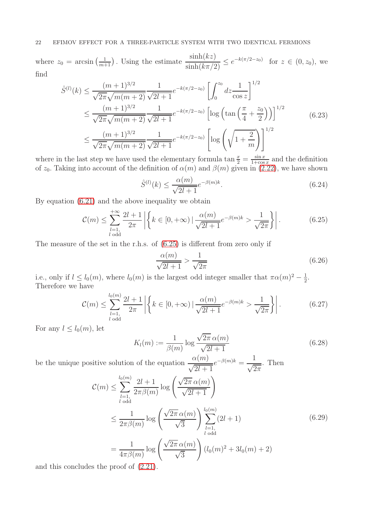where  $z_0 = \arcsin\left(\frac{1}{m+1}\right)$ . Using the estimate  $\frac{\sinh(kz)}{\sinh(k\pi/2)}$  $\frac{\sinh(kz)}{\sinh(k\pi/2)} \leq e^{-k(\pi/2-z_0)}$  for  $z \in (0, z_0)$ , we find

$$
\hat{S}^{(l)}(k) \leq \frac{(m+1)^{3/2}}{\sqrt{2\pi}\sqrt{m(m+2)}} \frac{1}{\sqrt{2l+1}} e^{-k(\pi/2-z_0)} \left[ \int_0^{z_0} dz \frac{1}{\cos z} \right]^{1/2}
$$
\n
$$
\leq \frac{(m+1)^{3/2}}{\sqrt{2\pi}\sqrt{m(m+2)}} \frac{1}{\sqrt{2l+1}} e^{-k(\pi/2-z_0)} \left[ \log \left( \tan \left( \frac{\pi}{4} + \frac{z_0}{2} \right) \right) \right]^{1/2}
$$
\n
$$
\leq \frac{(m+1)^{3/2}}{\sqrt{2\pi}\sqrt{m(m+2)}} \frac{1}{\sqrt{2l+1}} e^{-k(\pi/2-z_0)} \left[ \log \left( \sqrt{1 + \frac{2}{m}} \right) \right]^{1/2}
$$
\n(6.23)

where in the last step we have used the elementary formula tan  $\frac{x}{2} = \frac{\sin x}{1 + \cos x}$  $\frac{\sin x}{1+\cos x}$  and the definition of  $z_0$ . Taking into account of the definition of  $\alpha(m)$  and  $\beta(m)$  given in [\(2.22\)](#page-5-4), we have shown

$$
\hat{S}^{(l)}(k) \le \frac{\alpha(m)}{\sqrt{2l+1}} e^{-\beta(m)k}.
$$
\n(6.24)

By equation [\(6.21\)](#page-20-3) and the above inequality we obtain

<span id="page-21-0"></span>
$$
\mathcal{C}(m) \le \sum_{\substack{l=1,\\l \text{ odd}}}^{+\infty} \frac{2l+1}{2\pi} \left| \left\{ k \in [0, +\infty) \mid \frac{\alpha(m)}{\sqrt{2l+1}} e^{-\beta(m)k} > \frac{1}{\sqrt{2\pi}} \right\} \right|.
$$
 (6.25)

The measure of the set in the r.h.s. of [\(6.25\)](#page-21-0) is different from zero only if

$$
\frac{\alpha(m)}{\sqrt{2l+1}} > \frac{1}{\sqrt{2\pi}}\tag{6.26}
$$

i.e., only if  $l \leq l_0(m)$ , where  $l_0(m)$  is the largest odd integer smaller that  $\pi \alpha(m)^2 - \frac{1}{2}$  $\frac{1}{2}$ . Therefore we have

$$
\mathcal{C}(m) \le \sum_{\substack{l=1, \\ l \text{ odd}}}^{l_0(m)} \frac{2l+1}{2\pi} \left| \left\{ k \in [0, +\infty) \mid \frac{\alpha(m)}{\sqrt{2l+1}} e^{-\beta(m)k} > \frac{1}{\sqrt{2\pi}} \right\} \right|.
$$
 (6.27)

For any  $l \leq l_0(m)$ , let

$$
K_l(m) := \frac{1}{\beta(m)} \log \frac{\sqrt{2\pi} \alpha(m)}{\sqrt{2l+1}}
$$
\n(6.28)

be the unique positive solution of the equation  $\frac{\alpha(m)}{\sqrt{2l+1}}$  $e^{-\beta(m)k} = \frac{1}{\sqrt{2}}$  $\sqrt{2\pi}$ . Then

$$
\mathcal{C}(m) \leq \sum_{l=1, \atop l \text{ odd}}^{l_0(m)} \frac{2l+1}{2\pi \beta(m)} \log \left( \frac{\sqrt{2\pi} \alpha(m)}{\sqrt{2l+1}} \right)
$$
\n
$$
\leq \frac{1}{2\pi \beta(m)} \log \left( \frac{\sqrt{2\pi} \alpha(m)}{\sqrt{3}} \right) \sum_{\substack{l=1, \atop l \text{ odd}}}^{l_0(m)} (2l+1) \tag{6.29}
$$
\n
$$
= \frac{1}{4\pi \beta(m)} \log \left( \frac{\sqrt{2\pi} \alpha(m)}{\sqrt{3}} \right) (l_0(m)^2 + 3l_0(m) + 2)
$$

and this concludes the proof of [\(2.21\)](#page-5-5).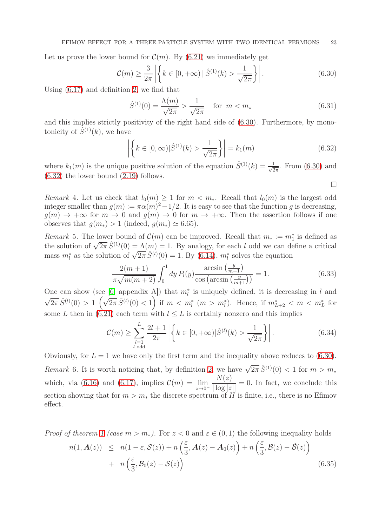Let us prove the lower bound for  $\mathcal{C}(m)$ . By [\(6.21\)](#page-20-3) we immediately get

<span id="page-22-0"></span>
$$
\mathcal{C}(m) \ge \frac{3}{2\pi} \left| \left\{ k \in [0, +\infty) \, | \, \hat{S}^{(1)}(k) > \frac{1}{\sqrt{2\pi}} \right\} \right| . \tag{6.30}
$$

Using [\(6.17\)](#page-20-4) and definition [2,](#page-5-6) we find that

$$
\hat{S}^{(1)}(0) = \frac{\Lambda(m)}{\sqrt{2\pi}} > \frac{1}{\sqrt{2\pi}} \quad \text{for } m < m_* \tag{6.31}
$$

and this implies strictly positivity of the right hand side of [\(6.30\)](#page-22-0). Furthermore, by monotonicity of  $\hat{S}^{(1)}(k)$ , we have

<span id="page-22-1"></span>
$$
\left| \left\{ k \in [0, \infty) \middle| \hat{S}^{(1)}(k) > \frac{1}{\sqrt{2\pi}} \right\} \right| = k_1(m) \tag{6.32}
$$

where  $k_1(m)$  is the unique positive solution of the equation  $\hat{S}^{(1)}(k) = \frac{1}{\sqrt{2}}$  $\frac{1}{2\pi}$ . From [\(6.30\)](#page-22-0) and [\(6.32\)](#page-22-1) the lower bound [\(2.19\)](#page-5-7) follows.

 $\Box$ 

Remark 4. Let us check that  $l_0(m) \geq 1$  for  $m < m_*$ . Recall that  $l_0(m)$  is the largest odd integer smaller than  $g(m) := \pi \alpha(m)^2 - 1/2$ . It is easy to see that the function g is decreasing,  $q(m) \rightarrow +\infty$  for  $m \rightarrow 0$  and  $q(m) \rightarrow 0$  for  $m \rightarrow +\infty$ . Then the assertion follows if one observes that  $g(m_*) > 1$  (indeed,  $g(m_*) \simeq 6.65$ ).

*Remark* 5. The lower bound of  $\mathcal{C}(m)$  can be improved. Recall that  $m_* := m_1^*$  is defined as the solution of  $\sqrt{2\pi} \hat{S}^{(1)}(0) = \Lambda(m) = 1$ . By analogy, for each l odd we can define a critical mass  $m_l^*$  as the solution of  $\sqrt{2\pi} \hat{S}^{(l)}(0) = 1$ . By [\(6.14\)](#page-19-0),  $m_l^*$  solves the equation

$$
\frac{2(m+1)}{\pi\sqrt{m(m+2)}}\int_0^1 dy P_l(y)\frac{\arcsin\left(\frac{y}{m+1}\right)}{\cos\left(\arcsin\left(\frac{y}{m+1}\right)\right)} = 1.
$$
\n(6.33)

One can show (see [\[6,](#page-24-15) appendix A]) that  $m_l^*$  is uniquely defined, it is decreasing in l and  $\sqrt{2\pi} \hat{S}^{(l)}(0) > 1 \left(\sqrt{2\pi} \hat{S}^{(l)}(0) < 1\right)$  if  $m < m_l^*$   $(m > m_l^* )$ . Hence, if  $m_{L+2}^* < m < m_L^*$  for some L then in [\(6.21\)](#page-20-3) each term with  $l \leq L$  is certainly nonzero and this implies

$$
\mathcal{C}(m) \ge \sum_{\substack{l=1 \ l \text{ odd}}}^{L} \frac{2l+1}{2\pi} \left| \left\{ k \in [0, +\infty) | \hat{S}^{(l)}(k) > \frac{1}{\sqrt{2\pi}} \right\} \right|.
$$
 (6.34)

Obviously, for  $L = 1$  we have only the first term and the inequality above reduces to [\(6.30\)](#page-22-0). Remark 6. It is worth noticing that, by definition [2,](#page-5-6) we have  $\sqrt{2\pi} \hat{S}^{(1)}(0) < 1$  for  $m > m_*$ which, via [\(6.16\)](#page-20-5) and [\(6.17\)](#page-20-4), implies  $\mathcal{C}(m) = \lim_{z \to 0^-}$  $N(z)$  $\frac{1}{\vert \log \vert z \vert \vert} = 0$ . In fact, we conclude this section showing that for  $m > m_*$  the discrete spectrum of H is finite, i.e., there is no Efimov effect.

*Proof of theorem [1](#page-5-2) (case m > m*<sup>\*</sup>). For  $z < 0$  and  $\varepsilon \in (0,1)$  the following inequality holds

<span id="page-22-2"></span>
$$
n(1, \mathbf{A}(z)) \leq n(1 - \varepsilon, \mathcal{S}(z)) + n\left(\frac{\varepsilon}{3}, \mathbf{A}(z) - \mathbf{A}_0(z)\right) + n\left(\frac{\varepsilon}{3}, \mathcal{B}(z) - \tilde{\mathcal{B}}(z)\right) + n\left(\frac{\varepsilon}{3}, \mathcal{B}_0(z) - \mathcal{S}(z)\right)
$$
(6.35)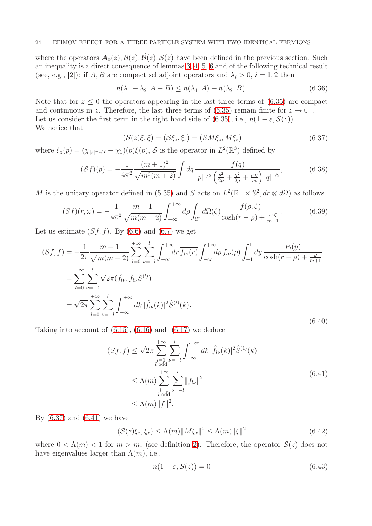where the operators  $A_0(z), B(z), \dot{B}(z), S(z)$  have been defined in the previous section. Such an inequality is a direct consequence of lemmas [3,](#page-13-1) [4,](#page-14-2) [5,](#page-15-1) [6](#page-17-2) and of the following technical result (see, e.g., [\[2\]](#page-24-16)): if A, B are compact selfadjoint operators and  $\lambda_i > 0$ ,  $i = 1, 2$  then

$$
n(\lambda_1 + \lambda_2, A + B) \le n(\lambda_1, A) + n(\lambda_2, B). \tag{6.36}
$$

Note that for  $z \leq 0$  the operators appearing in the last three terms of [\(6.35\)](#page-22-2) are compact and continuous in z. Therefore, the last three terms of  $(6.35)$  remain finite for  $z \to 0^-$ . Let us consider the first term in the right hand side of [\(6.35\)](#page-22-2), i.e.,  $n(1 - \varepsilon, \mathcal{S}(z))$ . We notice that

<span id="page-23-0"></span>
$$
(\mathcal{S}(z)\xi,\xi) = (\mathcal{S}\xi_z,\xi_z) = (SM\xi_z,M\xi_z)
$$
\n(6.37)

where  $\xi_z(p) = (\chi_{|z|^{-1/2}} - \chi_1)(p)\xi(p)$ , S is the operator in  $L^2(\mathbb{R}^3)$  defined by

$$
(\mathcal{S}f)(p) = -\frac{1}{4\pi^2} \frac{(m+1)^2}{\sqrt{m^3(m+2)}} \int dq \frac{f(q)}{|p|^{1/2} \left(\frac{p^2}{2\mu} + \frac{q^2}{2\mu} + \frac{p \cdot q}{m}\right) |q|^{1/2}},\tag{6.38}
$$

M is the unitary operator defined in [\(5.35\)](#page-17-3) and S acts on  $L^2(\mathbb{R}_+ \times \mathbb{S}^2, dr \otimes d\Omega)$  as follows

$$
(Sf)(r,\omega) = -\frac{1}{4\pi^2} \frac{m+1}{\sqrt{m(m+2)}} \int_{-\infty}^{+\infty} d\rho \int_{\mathbb{S}^2} d\Omega(\zeta) \frac{f(\rho,\zeta)}{\cosh(r-\rho) + \frac{\omega\cdot\zeta}{m+1}}.
$$
 (6.39)

Let us estimate  $(Sf, f)$ . By  $(6.6)$  and  $(6.7)$  we get

$$
(Sf, f) = -\frac{1}{2\pi} \frac{m+1}{\sqrt{m(m+2)}} \sum_{l=0}^{+\infty} \sum_{\nu=-l}^{l} \int_{-\infty}^{+\infty} dr \, \overline{f_{l\nu}(r)} \int_{-\infty}^{+\infty} d\rho \, f_{l\nu}(\rho) \int_{-1}^{1} dy \, \frac{P_l(y)}{\cosh(r-\rho) + \frac{y}{m+1}}
$$
  
\n
$$
= \sum_{l=0}^{+\infty} \sum_{\nu=-l}^{l} \sqrt{2\pi} (\hat{f}_{l\nu}, \hat{f}_{l\nu} \hat{S}^{(l)})
$$
  
\n
$$
= \sqrt{2\pi} \sum_{l=0}^{+\infty} \sum_{\nu=-l}^{l} \int_{-\infty}^{+\infty} dk \, |\hat{f}_{l\nu}(k)|^2 \hat{S}^{(l)}(k).
$$
\n(6.40)

Taking into account of  $(6.15)$ ,  $(6.16)$  and  $(6.17)$  we deduce

<span id="page-23-1"></span>
$$
(Sf, f) \le \sqrt{2\pi} \sum_{\substack{l=1 \ l \text{ odd}}}^{+\infty} \sum_{\nu=-l}^{l} \int_{-\infty}^{+\infty} dk \, |\hat{f}_{l\nu}(k)|^2 \hat{S}^{(1)}(k)
$$
  

$$
\le \Lambda(m) \sum_{\substack{l=1 \ l \text{ odd}}}^{+\infty} \sum_{\nu=-l}^{l} ||f_{l\nu}||^2
$$
  

$$
\le \Lambda(m) ||f||^2.
$$
 (6.41)

By  $(6.37)$  and  $(6.41)$  we have

$$
(\mathcal{S}(z)\xi_z,\xi_z) \le \Lambda(m)\|M\xi_z\|^2 \le \Lambda(m)\|\xi\|^2 \tag{6.42}
$$

where  $0 < \Lambda(m) < 1$  for  $m > m_*$  (see definition [2\)](#page-5-6). Therefore, the operator  $\mathcal{S}(z)$  does not have eigenvalues larger than  $\Lambda(m)$ , i.e.,

<span id="page-23-2"></span>
$$
n(1 - \varepsilon, \mathcal{S}(z)) = 0 \tag{6.43}
$$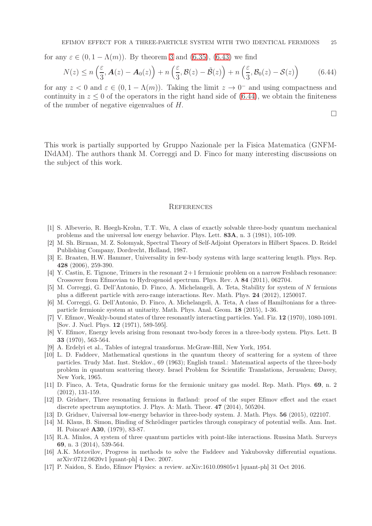for any  $\varepsilon \in (0, 1 - \Lambda(m))$ . By theorem [3](#page-10-3) and [\(6.35\)](#page-22-2), [\(6.43\)](#page-23-2) we find

<span id="page-24-17"></span>
$$
N(z) \le n\left(\frac{\varepsilon}{3}, \mathbf{A}(z) - \mathbf{A}_0(z)\right) + n\left(\frac{\varepsilon}{3}, \mathcal{B}(z) - \tilde{\mathcal{B}}(z)\right) + n\left(\frac{\varepsilon}{3}, \mathcal{B}_0(z) - \mathcal{S}(z)\right) \tag{6.44}
$$

for any  $z < 0$  and  $\varepsilon \in (0, 1 - \Lambda(m))$ . Taking the limit  $z \to 0^-$  and using compactness and continuity in  $z \leq 0$  of the operators in the right hand side of  $(6.44)$ , we obtain the finiteness of the number of negative eigenvalues of H.

 $\Box$ 

This work is partially supported by Gruppo Nazionale per la Fisica Matematica (GNFM-INdAM). The authors thank M. Correggi and D. Finco for many interesting discussions on the subject of this work.

#### **REFERENCES**

- <span id="page-24-7"></span>[1] S. Albeverio, R. Høegh-Krohn, T.T. Wu, A class of exactly solvable three-body quantum mechanical problems and the universal low energy behavior. Phys. Lett. 83A, n. 3 (1981), 105-109.
- <span id="page-24-16"></span>[2] M. Sh. Birman, M. Z. Solomyak, Spectral Theory of Self-Adjoint Operators in Hilbert Spaces. D. Reidel Publishing Company, Dordrecht, Holland, 1987.
- <span id="page-24-2"></span>[3] E. Braaten, H.W. Hammer, Universality in few-body systems with large scattering length. Phys. Rep. 428 (2006), 259-390.
- <span id="page-24-8"></span>[4] Y. Castin, E. Tignone, Trimers in the resonant 2+ 1 fermionic problem on a narrow Feshbach resonance: Crossover from Efimovian to Hydrogenoid spectrum. Phys. Rev. A 84 (2011), 062704.
- <span id="page-24-10"></span>[5] M. Correggi, G. Dell'Antonio, D. Finco, A. Michelangeli, A. Teta, Stability for system of N fermions plus a different particle with zero-range interactions. Rev. Math. Phys. 24 (2012), 1250017.
- <span id="page-24-15"></span>[6] M. Correggi, G. Dell'Antonio, D. Finco, A. Michelangeli, A. Teta, A class of Hamiltonians for a threeparticle fermionic system at unitarity. Math. Phys. Anal. Geom. 18 (2015), 1-36.
- <span id="page-24-0"></span>[7] V. Efimov, Weakly-bound states of three resonantly interacting particles. Yad. Fiz. 12 (1970), 1080-1091. [Sov. J. Nucl. Phys. 12 (1971), 589-595].
- <span id="page-24-1"></span>[8] V. Efimov, Energy levels arising from resonant two-body forces in a three-body system. Phys. Lett. B 33 (1970), 563-564.
- <span id="page-24-14"></span><span id="page-24-12"></span>[9] A. Erdelyi et al., Tables of integral transforms. McGraw-Hill, New York, 1954.
- [10] L. D. Faddeev, Mathematical questions in the quantum theory of scattering for a system of three particles. Trudy Mat. Inst. Steklov., 69 (1963); English transl.: Matematical aspects of the three-body problem in quantum scattering theory. Israel Problem for Scientific Translations, Jerusalem; Davey, New York, 1965.
- <span id="page-24-9"></span>[11] D. Finco, A. Teta, Quadratic forms for the fermionic unitary gas model. Rep. Math. Phys. 69, n. 2 (2012), 131-159.
- <span id="page-24-5"></span>[12] D. Gridnev, Three resonating fermions in flatland: proof of the super Efimov effect and the exact discrete spectrum asymptotics. J. Phys. A: Math. Theor. **47** (2014), 505204.
- <span id="page-24-6"></span><span id="page-24-4"></span>[13] D. Gridnev, Universal low-energy behavior in three-body system. J. Math. Phys. 56 (2015), 022107.
- [14] M. Klaus, B. Simon, Binding of Schrödinger particles through conspiracy of potential wells. Ann. Inst. H. Poincaré A30, (1979), 83-87.
- <span id="page-24-11"></span>[15] R.A. Minlos, A system of three quantum particles with point-like interactions. Russina Math. Surveys 69, n. 3 (2014), 539-564.
- <span id="page-24-13"></span>[16] A.K. Motovilov, Progress in methods to solve the Faddeev and Yakubovsky differential equations. arXiv:0712.0620v1 [quant-ph] 4 Dec. 2007.
- <span id="page-24-3"></span>[17] P. Naidon, S. Endo, Efimov Physics: a review. arXiv:1610.09805v1 [quant-ph] 31 Oct 2016.